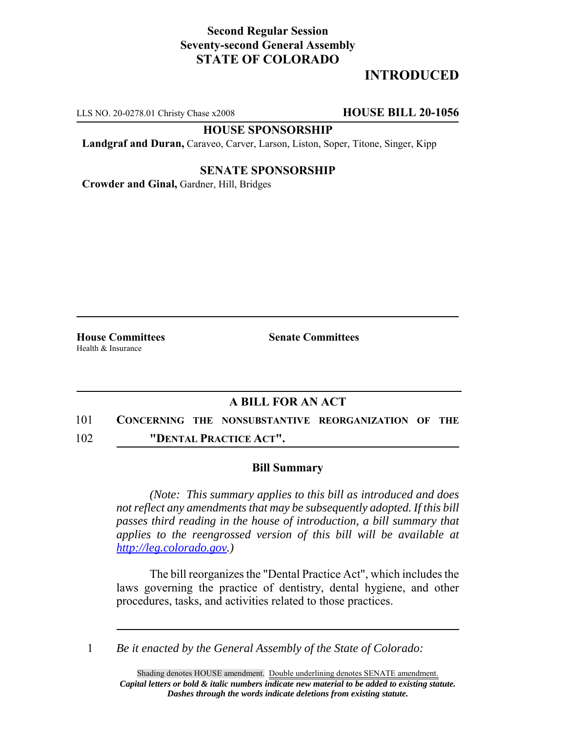# **Second Regular Session Seventy-second General Assembly STATE OF COLORADO**

# **INTRODUCED**

LLS NO. 20-0278.01 Christy Chase x2008 **HOUSE BILL 20-1056**

**HOUSE SPONSORSHIP**

**Landgraf and Duran,** Caraveo, Carver, Larson, Liston, Soper, Titone, Singer, Kipp

## **SENATE SPONSORSHIP**

**Crowder and Ginal,** Gardner, Hill, Bridges

Health & Insurance

**House Committees Senate Committees** 

# **A BILL FOR AN ACT**

- 101 **CONCERNING THE NONSUBSTANTIVE REORGANIZATION OF THE**
- 102 **"DENTAL PRACTICE ACT".**

## **Bill Summary**

*(Note: This summary applies to this bill as introduced and does not reflect any amendments that may be subsequently adopted. If this bill passes third reading in the house of introduction, a bill summary that applies to the reengrossed version of this bill will be available at http://leg.colorado.gov.)*

The bill reorganizes the "Dental Practice Act", which includes the laws governing the practice of dentistry, dental hygiene, and other procedures, tasks, and activities related to those practices.

1 *Be it enacted by the General Assembly of the State of Colorado:*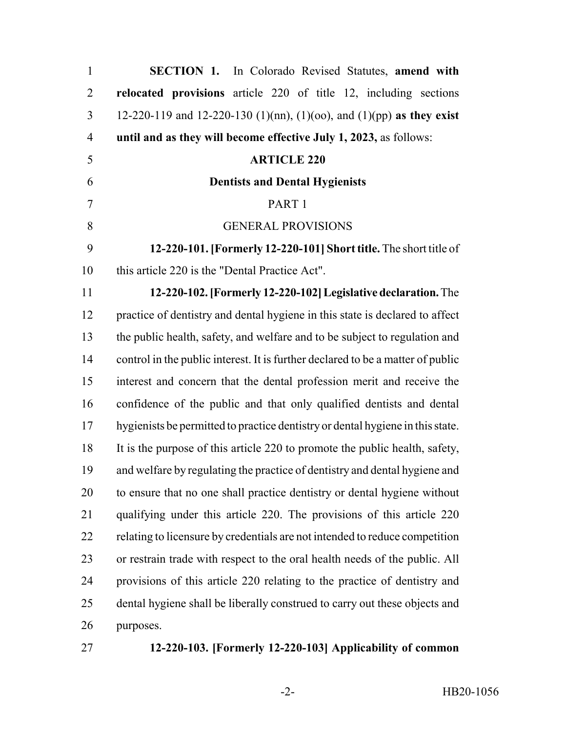| $\mathbf{1}$   | <b>SECTION 1.</b> In Colorado Revised Statutes, amend with                      |
|----------------|---------------------------------------------------------------------------------|
| $\overline{2}$ | relocated provisions article 220 of title 12, including sections                |
| 3              | 12-220-119 and 12-220-130 (1)(nn), (1)(oo), and (1)(pp) as they exist           |
| $\overline{4}$ | until and as they will become effective July 1, 2023, as follows:               |
| 5              | <b>ARTICLE 220</b>                                                              |
| 6              | <b>Dentists and Dental Hygienists</b>                                           |
| 7              | PART 1                                                                          |
| 8              | <b>GENERAL PROVISIONS</b>                                                       |
| 9              | 12-220-101. [Formerly 12-220-101] Short title. The short title of               |
| 10             | this article 220 is the "Dental Practice Act".                                  |
| 11             | 12-220-102. [Formerly 12-220-102] Legislative declaration. The                  |
| 12             | practice of dentistry and dental hygiene in this state is declared to affect    |
| 13             | the public health, safety, and welfare and to be subject to regulation and      |
| 14             | control in the public interest. It is further declared to be a matter of public |
| 15             | interest and concern that the dental profession merit and receive the           |
| 16             | confidence of the public and that only qualified dentists and dental            |
| 17             | hygienists be permitted to practice dentistry or dental hygiene in this state.  |
| 18             | It is the purpose of this article 220 to promote the public health, safety,     |
| 19             | and welfare by regulating the practice of dentistry and dental hygiene and      |
| 20             | to ensure that no one shall practice dentistry or dental hygiene without        |
| 21             | qualifying under this article 220. The provisions of this article 220           |
| 22             | relating to licensure by credentials are not intended to reduce competition     |
| 23             | or restrain trade with respect to the oral health needs of the public. All      |
| 24             | provisions of this article 220 relating to the practice of dentistry and        |
| 25             | dental hygiene shall be liberally construed to carry out these objects and      |
| 26             | purposes.                                                                       |
|                |                                                                                 |

# **12-220-103. [Formerly 12-220-103] Applicability of common**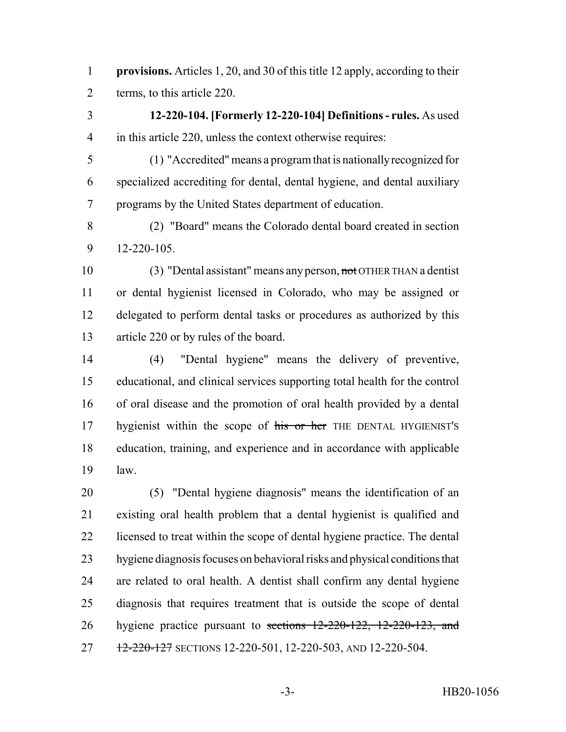**provisions.** Articles 1, 20, and 30 of this title 12 apply, according to their terms, to this article 220.

 **12-220-104. [Formerly 12-220-104] Definitions - rules.** As used in this article 220, unless the context otherwise requires:

 (1) "Accredited" means a program that is nationally recognized for specialized accrediting for dental, dental hygiene, and dental auxiliary programs by the United States department of education.

 (2) "Board" means the Colorado dental board created in section 12-220-105.

 (3) "Dental assistant" means any person, not OTHER THAN a dentist or dental hygienist licensed in Colorado, who may be assigned or delegated to perform dental tasks or procedures as authorized by this article 220 or by rules of the board.

 (4) "Dental hygiene" means the delivery of preventive, educational, and clinical services supporting total health for the control of oral disease and the promotion of oral health provided by a dental 17 hygienist within the scope of his or her THE DENTAL HYGIENIST's education, training, and experience and in accordance with applicable law.

 (5) "Dental hygiene diagnosis" means the identification of an existing oral health problem that a dental hygienist is qualified and licensed to treat within the scope of dental hygiene practice. The dental hygiene diagnosis focuses on behavioral risks and physical conditions that are related to oral health. A dentist shall confirm any dental hygiene diagnosis that requires treatment that is outside the scope of dental 26 hygiene practice pursuant to <del>sections 12-220-122, 12-220-123, and</del> 27 12-220-127 SECTIONS 12-220-501, 12-220-503, AND 12-220-504.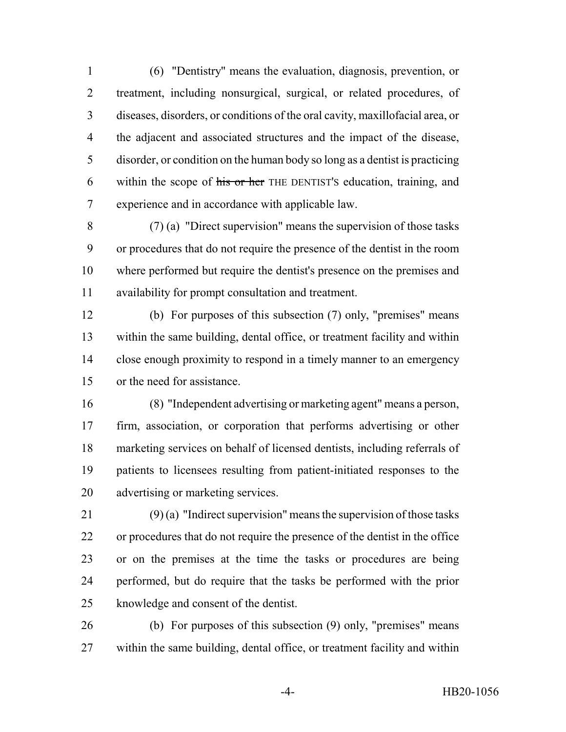(6) "Dentistry" means the evaluation, diagnosis, prevention, or treatment, including nonsurgical, surgical, or related procedures, of diseases, disorders, or conditions of the oral cavity, maxillofacial area, or the adjacent and associated structures and the impact of the disease, disorder, or condition on the human body so long as a dentist is practicing 6 within the scope of his or her THE DENTIST's education, training, and experience and in accordance with applicable law.

 (7) (a) "Direct supervision" means the supervision of those tasks or procedures that do not require the presence of the dentist in the room where performed but require the dentist's presence on the premises and availability for prompt consultation and treatment.

 (b) For purposes of this subsection (7) only, "premises" means within the same building, dental office, or treatment facility and within close enough proximity to respond in a timely manner to an emergency or the need for assistance.

 (8) "Independent advertising or marketing agent" means a person, firm, association, or corporation that performs advertising or other marketing services on behalf of licensed dentists, including referrals of patients to licensees resulting from patient-initiated responses to the advertising or marketing services.

21 (9) (a) "Indirect supervision" means the supervision of those tasks or procedures that do not require the presence of the dentist in the office or on the premises at the time the tasks or procedures are being performed, but do require that the tasks be performed with the prior knowledge and consent of the dentist.

 (b) For purposes of this subsection (9) only, "premises" means within the same building, dental office, or treatment facility and within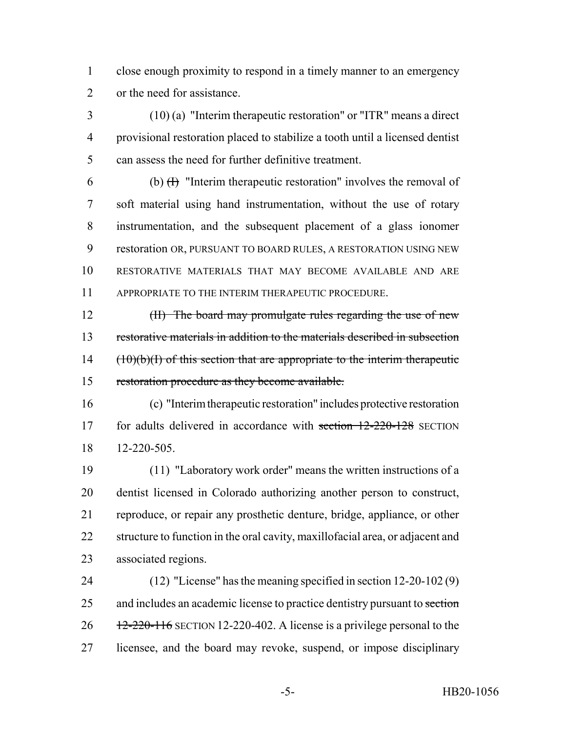close enough proximity to respond in a timely manner to an emergency or the need for assistance.

 (10) (a) "Interim therapeutic restoration" or "ITR" means a direct provisional restoration placed to stabilize a tooth until a licensed dentist can assess the need for further definitive treatment.

6 (b)  $(H)$  "Interim therapeutic restoration" involves the removal of soft material using hand instrumentation, without the use of rotary instrumentation, and the subsequent placement of a glass ionomer restoration OR, PURSUANT TO BOARD RULES, A RESTORATION USING NEW RESTORATIVE MATERIALS THAT MAY BECOME AVAILABLE AND ARE APPROPRIATE TO THE INTERIM THERAPEUTIC PROCEDURE.

12 (II) The board may promulgate rules regarding the use of new 13 restorative materials in addition to the materials described in subsection (10)(b)(I) of this section that are appropriate to the interim therapeutic restoration procedure as they become available.

 (c) "Interim therapeutic restoration" includes protective restoration 17 for adults delivered in accordance with section 12-220-128 SECTION 12-220-505.

 (11) "Laboratory work order" means the written instructions of a dentist licensed in Colorado authorizing another person to construct, reproduce, or repair any prosthetic denture, bridge, appliance, or other 22 structure to function in the oral cavity, maxillofacial area, or adjacent and associated regions.

 (12) "License" has the meaning specified in section 12-20-102 (9) 25 and includes an academic license to practice dentistry pursuant to section  $26 \frac{12-220-116}{20}$  SECTION 12-220-402. A license is a privilege personal to the licensee, and the board may revoke, suspend, or impose disciplinary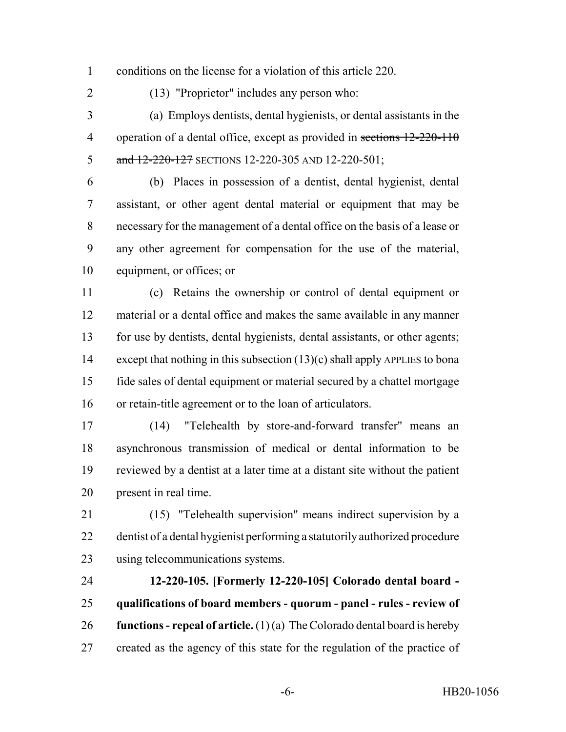conditions on the license for a violation of this article 220.

(13) "Proprietor" includes any person who:

 (a) Employs dentists, dental hygienists, or dental assistants in the 4 operation of a dental office, except as provided in sections 12-220-110 5 and 12-220-127 SECTIONS 12-220-305 AND 12-220-501;

 (b) Places in possession of a dentist, dental hygienist, dental assistant, or other agent dental material or equipment that may be necessary for the management of a dental office on the basis of a lease or any other agreement for compensation for the use of the material, equipment, or offices; or

 (c) Retains the ownership or control of dental equipment or material or a dental office and makes the same available in any manner for use by dentists, dental hygienists, dental assistants, or other agents; 14 except that nothing in this subsection  $(13)(c)$  shall apply APPLIES to bona fide sales of dental equipment or material secured by a chattel mortgage or retain-title agreement or to the loan of articulators.

 (14) "Telehealth by store-and-forward transfer" means an asynchronous transmission of medical or dental information to be reviewed by a dentist at a later time at a distant site without the patient present in real time.

 (15) "Telehealth supervision" means indirect supervision by a dentist of a dental hygienist performing a statutorily authorized procedure using telecommunications systems.

 **12-220-105. [Formerly 12-220-105] Colorado dental board - qualifications of board members - quorum - panel - rules - review of functions - repeal of article.** (1) (a) The Colorado dental board is hereby created as the agency of this state for the regulation of the practice of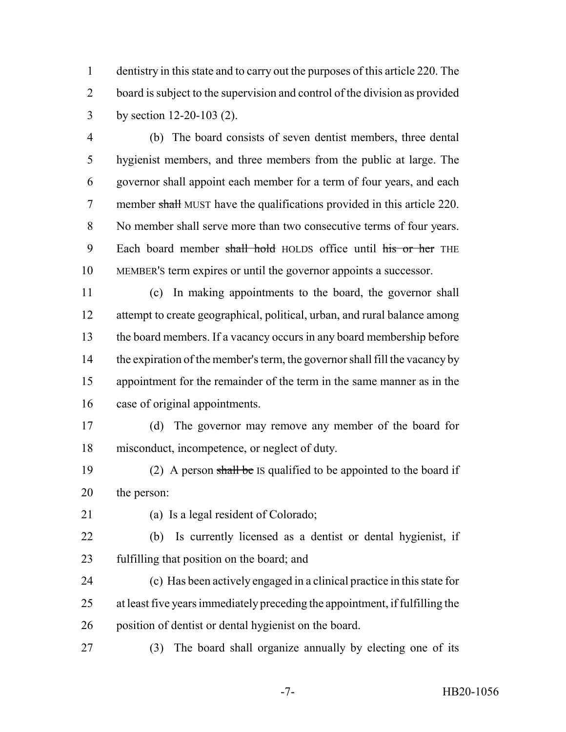dentistry in this state and to carry out the purposes of this article 220. The board is subject to the supervision and control of the division as provided by section 12-20-103 (2).

 (b) The board consists of seven dentist members, three dental hygienist members, and three members from the public at large. The governor shall appoint each member for a term of four years, and each 7 member shall MUST have the qualifications provided in this article 220. No member shall serve more than two consecutive terms of four years. 9 Each board member shall hold HOLDS office until his or her THE MEMBER'S term expires or until the governor appoints a successor.

 (c) In making appointments to the board, the governor shall attempt to create geographical, political, urban, and rural balance among the board members. If a vacancy occurs in any board membership before the expiration of the member's term, the governor shall fill the vacancy by appointment for the remainder of the term in the same manner as in the case of original appointments.

 (d) The governor may remove any member of the board for misconduct, incompetence, or neglect of duty.

19 (2) A person shall be IS qualified to be appointed to the board if the person:

(a) Is a legal resident of Colorado;

 (b) Is currently licensed as a dentist or dental hygienist, if fulfilling that position on the board; and

 (c) Has been actively engaged in a clinical practice in this state for at least five years immediately preceding the appointment, if fulfilling the position of dentist or dental hygienist on the board.

(3) The board shall organize annually by electing one of its

-7- HB20-1056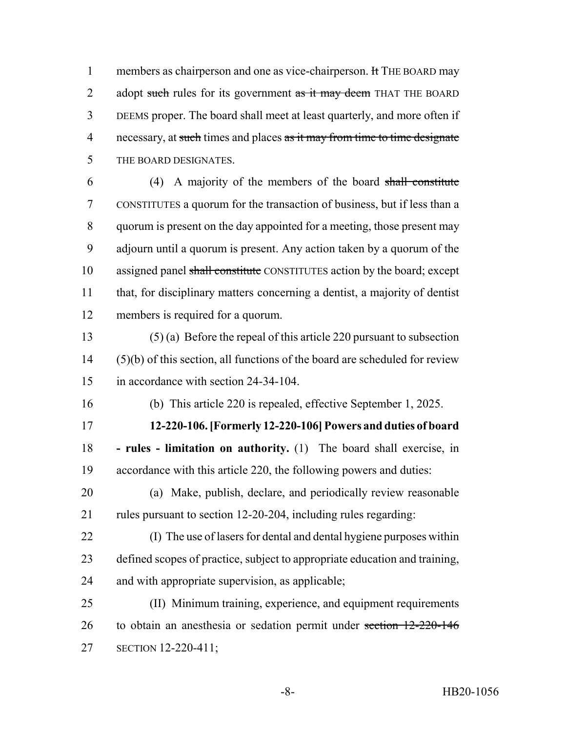1 members as chairperson and one as vice-chairperson. It THE BOARD may 2 adopt such rules for its government as it may deem THAT THE BOARD DEEMS proper. The board shall meet at least quarterly, and more often if 4 necessary, at such times and places as it may from time to time designate THE BOARD DESIGNATES.

 (4) A majority of the members of the board shall constitute CONSTITUTES a quorum for the transaction of business, but if less than a quorum is present on the day appointed for a meeting, those present may adjourn until a quorum is present. Any action taken by a quorum of the 10 assigned panel shall constitute CONSTITUTES action by the board; except that, for disciplinary matters concerning a dentist, a majority of dentist members is required for a quorum.

 (5) (a) Before the repeal of this article 220 pursuant to subsection (5)(b) of this section, all functions of the board are scheduled for review in accordance with section 24-34-104.

(b) This article 220 is repealed, effective September 1, 2025.

 **12-220-106. [Formerly 12-220-106] Powers and duties of board - rules - limitation on authority.** (1) The board shall exercise, in accordance with this article 220, the following powers and duties:

- (a) Make, publish, declare, and periodically review reasonable rules pursuant to section 12-20-204, including rules regarding:
- (I) The use of lasers for dental and dental hygiene purposes within defined scopes of practice, subject to appropriate education and training, and with appropriate supervision, as applicable;
- (II) Minimum training, experience, and equipment requirements 26 to obtain an anesthesia or sedation permit under section 12-220-146 SECTION 12-220-411;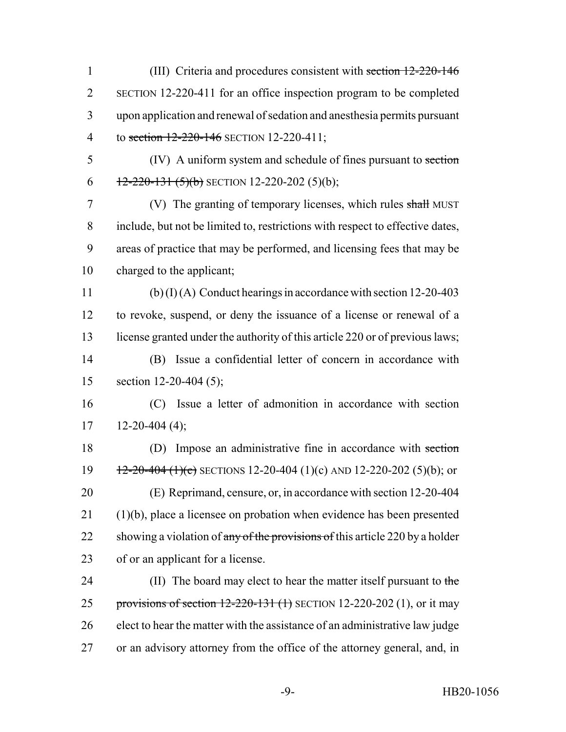(III) Criteria and procedures consistent with section 12-220-146 SECTION 12-220-411 for an office inspection program to be completed upon application and renewal of sedation and anesthesia permits pursuant 4 to section 12-220-146 SECTION 12-220-411; (IV) A uniform system and schedule of fines pursuant to section  $\left(-\frac{12-220-131(5)(b)}{2}\right)$  SECTION 12-220-202 (5)(b); (V) The granting of temporary licenses, which rules shall MUST include, but not be limited to, restrictions with respect to effective dates, areas of practice that may be performed, and licensing fees that may be charged to the applicant; (b) (I) (A) Conduct hearings in accordance with section 12-20-403 to revoke, suspend, or deny the issuance of a license or renewal of a license granted under the authority of this article 220 or of previous laws; (B) Issue a confidential letter of concern in accordance with section 12-20-404 (5); (C) Issue a letter of admonition in accordance with section  $17 \quad 12\text{-}20\text{-}404 \ (4);$  (D) Impose an administrative fine in accordance with section  $\frac{12-20-404 (1)(c)}{2}$  SECTIONS 12-20-404 (1)(c) AND 12-220-202 (5)(b); or (E) Reprimand, censure, or, in accordance with section 12-20-404 (1)(b), place a licensee on probation when evidence has been presented 22 showing a violation of any of the provisions of this article 220 by a holder of or an applicant for a license. 24 (II) The board may elect to hear the matter itself pursuant to the 25 provisions of section  $12-220-131$  (1) SECTION 12-220-202 (1), or it may elect to hear the matter with the assistance of an administrative law judge or an advisory attorney from the office of the attorney general, and, in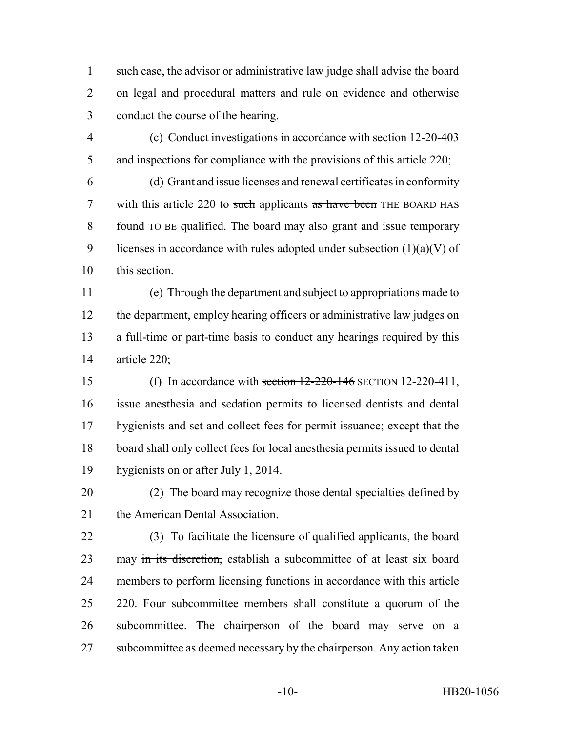such case, the advisor or administrative law judge shall advise the board on legal and procedural matters and rule on evidence and otherwise conduct the course of the hearing.

 (c) Conduct investigations in accordance with section 12-20-403 5 and inspections for compliance with the provisions of this article 220;

 (d) Grant and issue licenses and renewal certificates in conformity 7 with this article 220 to such applicants as have been THE BOARD HAS found TO BE qualified. The board may also grant and issue temporary 9 licenses in accordance with rules adopted under subsection  $(1)(a)(V)$  of this section.

 (e) Through the department and subject to appropriations made to the department, employ hearing officers or administrative law judges on a full-time or part-time basis to conduct any hearings required by this article 220;

 (f) In accordance with section 12-220-146 SECTION 12-220-411, issue anesthesia and sedation permits to licensed dentists and dental hygienists and set and collect fees for permit issuance; except that the board shall only collect fees for local anesthesia permits issued to dental hygienists on or after July 1, 2014.

 (2) The board may recognize those dental specialties defined by 21 the American Dental Association.

 (3) To facilitate the licensure of qualified applicants, the board 23 may in its discretion, establish a subcommittee of at least six board members to perform licensing functions in accordance with this article 25 220. Four subcommittee members shall constitute a quorum of the subcommittee. The chairperson of the board may serve on a subcommittee as deemed necessary by the chairperson. Any action taken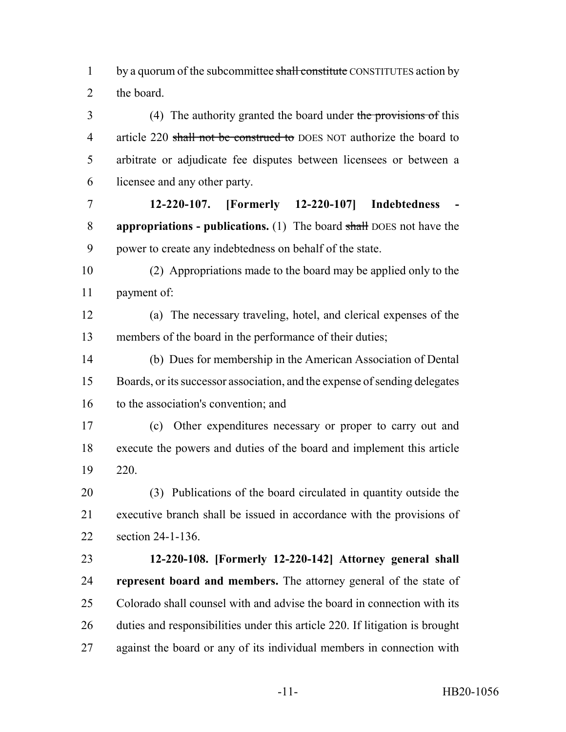1 by a quorum of the subcommittee shall constitute CONSTITUTES action by the board.

 (4) The authority granted the board under the provisions of this 4 article 220 shall not be construed to DOES NOT authorize the board to arbitrate or adjudicate fee disputes between licensees or between a licensee and any other party.

 **12-220-107. [Formerly 12-220-107] Indebtedness - appropriations - publications.** (1) The board shall DOES not have the power to create any indebtedness on behalf of the state.

 (2) Appropriations made to the board may be applied only to the payment of:

 (a) The necessary traveling, hotel, and clerical expenses of the members of the board in the performance of their duties;

 (b) Dues for membership in the American Association of Dental Boards, or its successor association, and the expense of sending delegates to the association's convention; and

 (c) Other expenditures necessary or proper to carry out and execute the powers and duties of the board and implement this article 220.

 (3) Publications of the board circulated in quantity outside the executive branch shall be issued in accordance with the provisions of section 24-1-136.

 **12-220-108. [Formerly 12-220-142] Attorney general shall represent board and members.** The attorney general of the state of Colorado shall counsel with and advise the board in connection with its duties and responsibilities under this article 220. If litigation is brought against the board or any of its individual members in connection with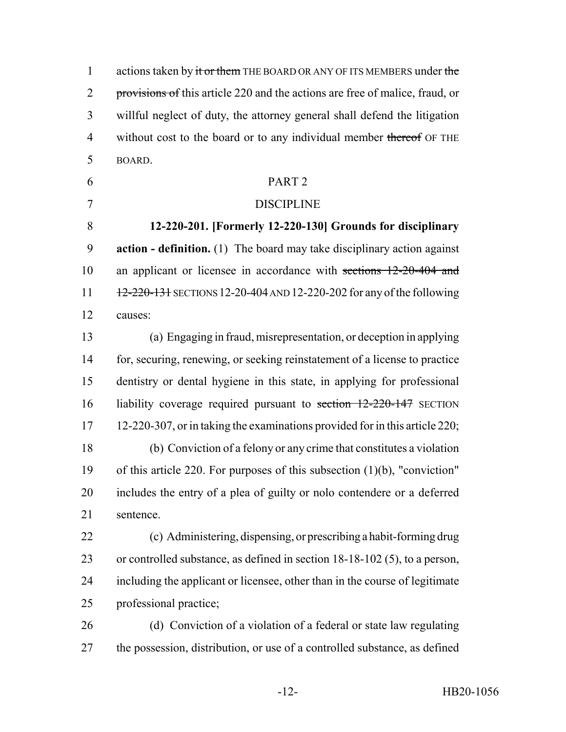1 actions taken by it or them THE BOARD OR ANY OF ITS MEMBERS under the 2 provisions of this article 220 and the actions are free of malice, fraud, or willful neglect of duty, the attorney general shall defend the litigation 4 without cost to the board or to any individual member thereof OF THE BOARD.

PART 2

# DISCIPLINE

 **12-220-201. [Formerly 12-220-130] Grounds for disciplinary action - definition.** (1) The board may take disciplinary action against 10 an applicant or licensee in accordance with sections 12-20-404 and 11 12-220-131 SECTIONS 12-20-404 AND 12-220-202 for any of the following causes:

 (a) Engaging in fraud, misrepresentation, or deception in applying for, securing, renewing, or seeking reinstatement of a license to practice dentistry or dental hygiene in this state, in applying for professional liability coverage required pursuant to section 12-220-147 SECTION 12-220-307, or in taking the examinations provided for in this article 220; (b) Conviction of a felony or any crime that constitutes a violation of this article 220. For purposes of this subsection (1)(b), "conviction" includes the entry of a plea of guilty or nolo contendere or a deferred sentence.

 (c) Administering, dispensing, or prescribing a habit-forming drug or controlled substance, as defined in section 18-18-102 (5), to a person, including the applicant or licensee, other than in the course of legitimate professional practice;

 (d) Conviction of a violation of a federal or state law regulating the possession, distribution, or use of a controlled substance, as defined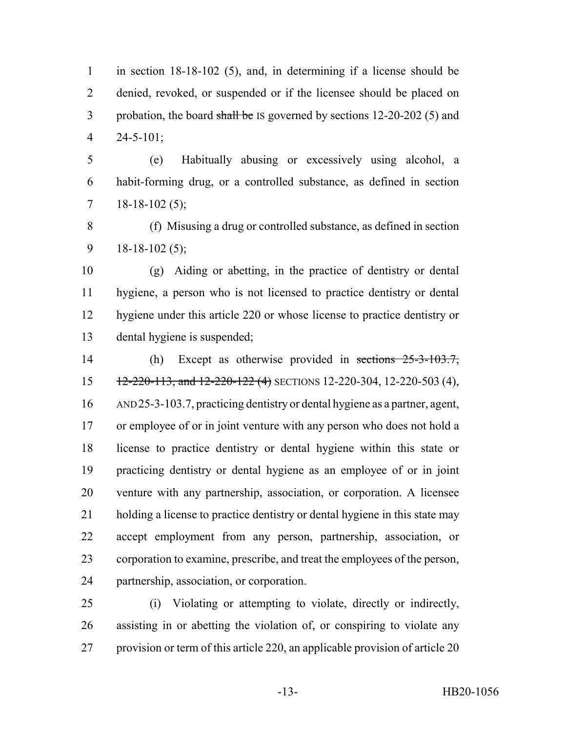in section 18-18-102 (5), and, in determining if a license should be denied, revoked, or suspended or if the licensee should be placed on 3 probation, the board shall be IS governed by sections 12-20-202 (5) and 24-5-101;

 (e) Habitually abusing or excessively using alcohol, a habit-forming drug, or a controlled substance, as defined in section  $7 \quad 18-18-102 \,(5);$ 

 (f) Misusing a drug or controlled substance, as defined in section 9 18-18-102 (5);

 (g) Aiding or abetting, in the practice of dentistry or dental hygiene, a person who is not licensed to practice dentistry or dental hygiene under this article 220 or whose license to practice dentistry or dental hygiene is suspended;

 (h) Except as otherwise provided in sections 25-3-103.7, 15 12-220-113, and 12-220-122 (4) SECTIONS 12-220-304, 12-220-503 (4), AND 25-3-103.7, practicing dentistry or dental hygiene as a partner, agent, 17 or employee of or in joint venture with any person who does not hold a license to practice dentistry or dental hygiene within this state or practicing dentistry or dental hygiene as an employee of or in joint venture with any partnership, association, or corporation. A licensee holding a license to practice dentistry or dental hygiene in this state may accept employment from any person, partnership, association, or corporation to examine, prescribe, and treat the employees of the person, partnership, association, or corporation.

 (i) Violating or attempting to violate, directly or indirectly, assisting in or abetting the violation of, or conspiring to violate any provision or term of this article 220, an applicable provision of article 20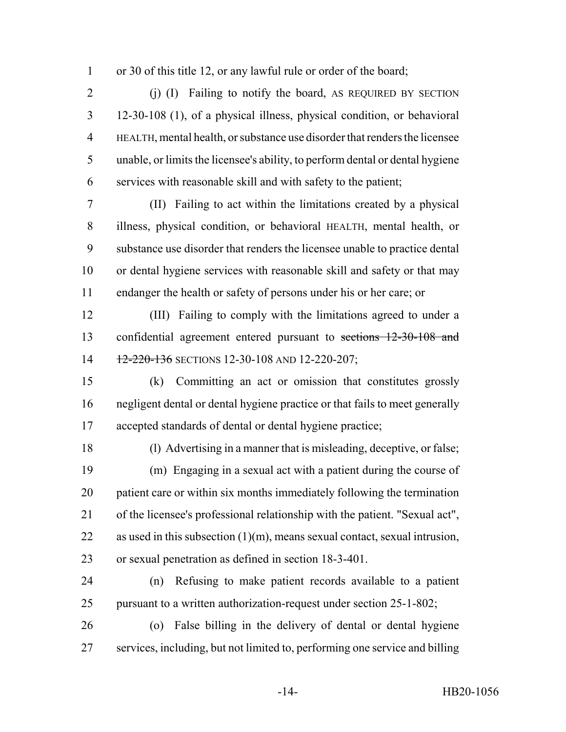or 30 of this title 12, or any lawful rule or order of the board;

2 (j) (I) Failing to notify the board, AS REQUIRED BY SECTION 12-30-108 (1), of a physical illness, physical condition, or behavioral HEALTH, mental health, or substance use disorder that renders the licensee unable, or limits the licensee's ability, to perform dental or dental hygiene services with reasonable skill and with safety to the patient;

 (II) Failing to act within the limitations created by a physical illness, physical condition, or behavioral HEALTH, mental health, or substance use disorder that renders the licensee unable to practice dental or dental hygiene services with reasonable skill and safety or that may endanger the health or safety of persons under his or her care; or

 (III) Failing to comply with the limitations agreed to under a confidential agreement entered pursuant to sections 12-30-108 and 14 12-220-136 SECTIONS 12-30-108 AND 12-220-207;

 (k) Committing an act or omission that constitutes grossly negligent dental or dental hygiene practice or that fails to meet generally accepted standards of dental or dental hygiene practice;

 (l) Advertising in a manner that is misleading, deceptive, or false; (m) Engaging in a sexual act with a patient during the course of patient care or within six months immediately following the termination of the licensee's professional relationship with the patient. "Sexual act", as used in this subsection (1)(m), means sexual contact, sexual intrusion, or sexual penetration as defined in section 18-3-401.

 (n) Refusing to make patient records available to a patient pursuant to a written authorization-request under section 25-1-802;

 (o) False billing in the delivery of dental or dental hygiene services, including, but not limited to, performing one service and billing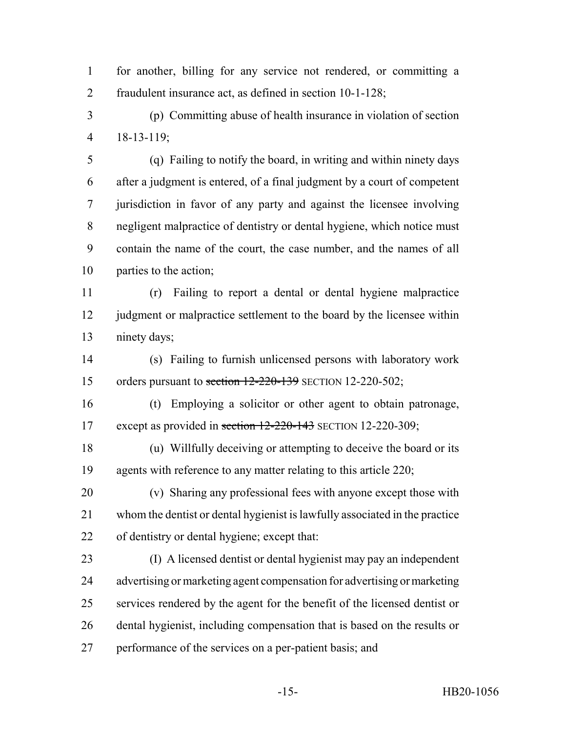for another, billing for any service not rendered, or committing a fraudulent insurance act, as defined in section 10-1-128;

 (p) Committing abuse of health insurance in violation of section 18-13-119;

 (q) Failing to notify the board, in writing and within ninety days after a judgment is entered, of a final judgment by a court of competent jurisdiction in favor of any party and against the licensee involving negligent malpractice of dentistry or dental hygiene, which notice must contain the name of the court, the case number, and the names of all parties to the action;

 (r) Failing to report a dental or dental hygiene malpractice 12 judgment or malpractice settlement to the board by the licensee within ninety days;

 (s) Failing to furnish unlicensed persons with laboratory work 15 orders pursuant to section 12-220-139 SECTION 12-220-502;

 (t) Employing a solicitor or other agent to obtain patronage, 17 except as provided in section 12-220-143 SECTION 12-220-309;

 (u) Willfully deceiving or attempting to deceive the board or its 19 agents with reference to any matter relating to this article 220;

 (v) Sharing any professional fees with anyone except those with whom the dentist or dental hygienist is lawfully associated in the practice of dentistry or dental hygiene; except that:

 (I) A licensed dentist or dental hygienist may pay an independent advertising or marketing agent compensation for advertising or marketing services rendered by the agent for the benefit of the licensed dentist or dental hygienist, including compensation that is based on the results or performance of the services on a per-patient basis; and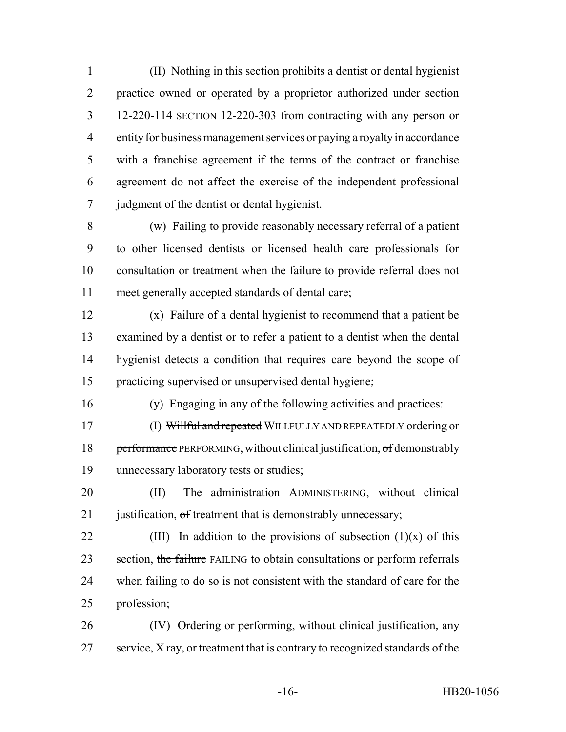(II) Nothing in this section prohibits a dentist or dental hygienist 2 practice owned or operated by a proprietor authorized under section 3 12-220-114 SECTION 12-220-303 from contracting with any person or entity for business management services or paying a royalty in accordance with a franchise agreement if the terms of the contract or franchise agreement do not affect the exercise of the independent professional judgment of the dentist or dental hygienist.

 (w) Failing to provide reasonably necessary referral of a patient to other licensed dentists or licensed health care professionals for consultation or treatment when the failure to provide referral does not meet generally accepted standards of dental care;

 (x) Failure of a dental hygienist to recommend that a patient be examined by a dentist or to refer a patient to a dentist when the dental hygienist detects a condition that requires care beyond the scope of practicing supervised or unsupervised dental hygiene;

(y) Engaging in any of the following activities and practices:

 (I) Willful and repeated WILLFULLY AND REPEATEDLY ordering or 18 performance PERFORMING, without clinical justification, of demonstrably unnecessary laboratory tests or studies;

20 (II) The administration ADMINISTERING, without clinical 21 justification, of treatment that is demonstrably unnecessary;

22 (III) In addition to the provisions of subsection  $(1)(x)$  of this 23 section, the failure FAILING to obtain consultations or perform referrals when failing to do so is not consistent with the standard of care for the profession;

 (IV) Ordering or performing, without clinical justification, any service, X ray, or treatment that is contrary to recognized standards of the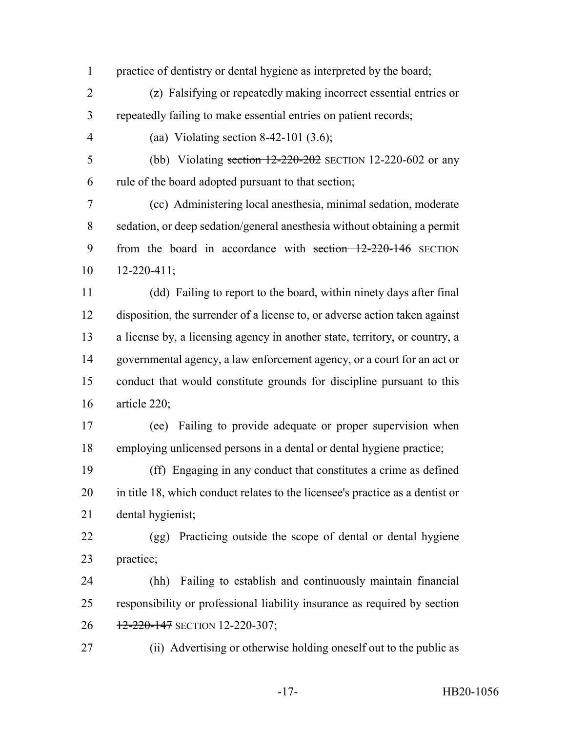practice of dentistry or dental hygiene as interpreted by the board;

 (z) Falsifying or repeatedly making incorrect essential entries or repeatedly failing to make essential entries on patient records;

(aa) Violating section 8-42-101 (3.6);

5 (bb) Violating section 12-220-202 SECTION 12-220-602 or any

rule of the board adopted pursuant to that section;

 (cc) Administering local anesthesia, minimal sedation, moderate sedation, or deep sedation/general anesthesia without obtaining a permit 9 from the board in accordance with section 12-220-146 SECTION 12-220-411;

 (dd) Failing to report to the board, within ninety days after final disposition, the surrender of a license to, or adverse action taken against a license by, a licensing agency in another state, territory, or country, a governmental agency, a law enforcement agency, or a court for an act or conduct that would constitute grounds for discipline pursuant to this article 220;

 (ee) Failing to provide adequate or proper supervision when employing unlicensed persons in a dental or dental hygiene practice;

 (ff) Engaging in any conduct that constitutes a crime as defined in title 18, which conduct relates to the licensee's practice as a dentist or dental hygienist;

 (gg) Practicing outside the scope of dental or dental hygiene practice;

 (hh) Failing to establish and continuously maintain financial 25 responsibility or professional liability insurance as required by section 26 12-220-147 SECTION 12-220-307;

(ii) Advertising or otherwise holding oneself out to the public as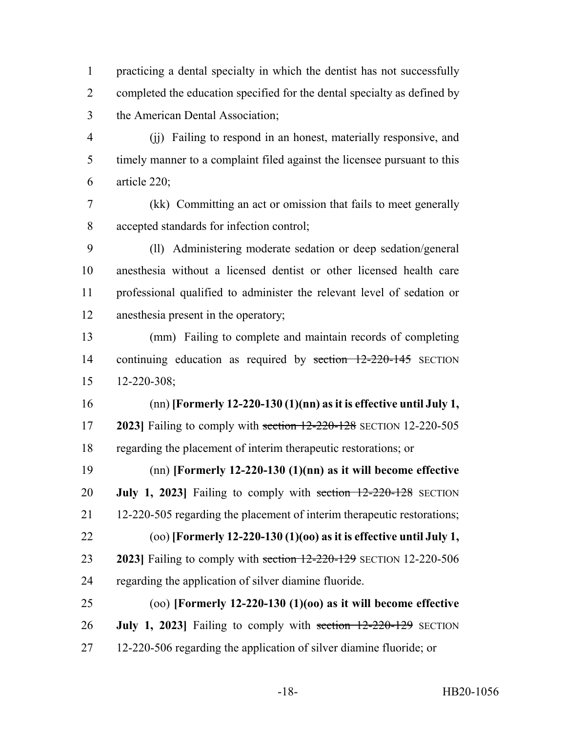practicing a dental specialty in which the dentist has not successfully completed the education specified for the dental specialty as defined by the American Dental Association;

 (jj) Failing to respond in an honest, materially responsive, and timely manner to a complaint filed against the licensee pursuant to this article 220;

 (kk) Committing an act or omission that fails to meet generally accepted standards for infection control;

 (ll) Administering moderate sedation or deep sedation/general anesthesia without a licensed dentist or other licensed health care professional qualified to administer the relevant level of sedation or anesthesia present in the operatory;

 (mm) Failing to complete and maintain records of completing continuing education as required by section 12-220-145 SECTION 12-220-308;

 (nn) **[Formerly 12-220-130 (1)(nn) as it is effective until July 1, 2023]** Failing to comply with section 12-220-128 SECTION 12-220-505 regarding the placement of interim therapeutic restorations; or

 (nn) **[Formerly 12-220-130 (1)(nn) as it will become effective July 1, 2023]** Failing to comply with section 12-220-128 SECTION 12-220-505 regarding the placement of interim therapeutic restorations; (oo) **[Formerly 12-220-130 (1)(oo) as it is effective until July 1, 2023]** Failing to comply with section 12-220-129 SECTION 12-220-506

regarding the application of silver diamine fluoride.

 (oo) **[Formerly 12-220-130 (1)(oo) as it will become effective July 1, 2023]** Failing to comply with section 12-220-129 SECTION 12-220-506 regarding the application of silver diamine fluoride; or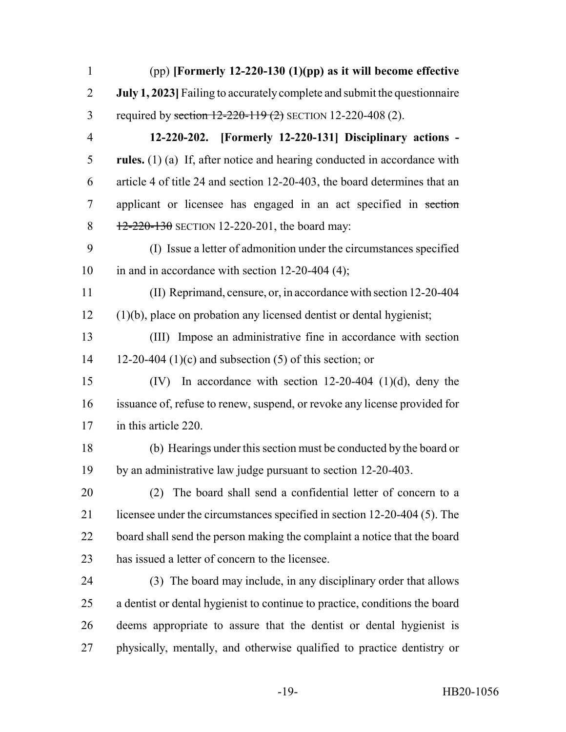| $\mathbf{1}$   | $(pp)$ [Formerly 12-220-130 (1)(pp) as it will become effective             |
|----------------|-----------------------------------------------------------------------------|
| $\overline{2}$ | July 1, 2023] Failing to accurately complete and submit the questionnaire   |
| 3              | required by section 12-220-119 (2) SECTION 12-220-408 (2).                  |
| $\overline{4}$ | 12-220-202. [Formerly 12-220-131] Disciplinary actions -                    |
| 5              | rules. $(1)$ (a) If, after notice and hearing conducted in accordance with  |
| 6              | article 4 of title 24 and section 12-20-403, the board determines that an   |
| $\overline{7}$ | applicant or licensee has engaged in an act specified in section            |
| 8              | $12 - 220 - 130$ SECTION 12-220-201, the board may:                         |
| 9              | (I) Issue a letter of admonition under the circumstances specified          |
| 10             | in and in accordance with section $12-20-404$ (4);                          |
| 11             | (II) Reprimand, censure, or, in accordance with section 12-20-404           |
| 12             | $(1)(b)$ , place on probation any licensed dentist or dental hygienist;     |
| 13             | (III) Impose an administrative fine in accordance with section              |
| 14             | 12-20-404 (1)(c) and subsection (5) of this section; or                     |
| 15             | In accordance with section $12-20-404$ (1)(d), deny the<br>(IV)             |
| 16             | issuance of, refuse to renew, suspend, or revoke any license provided for   |
| 17             | in this article 220.                                                        |
| 18             | (b) Hearings under this section must be conducted by the board or           |
| 19             | by an administrative law judge pursuant to section 12-20-403                |
| 20             | (2) The board shall send a confidential letter of concern to a              |
| 21             | licensee under the circumstances specified in section 12-20-404 (5). The    |
| 22             | board shall send the person making the complaint a notice that the board    |
| 23             | has issued a letter of concern to the licensee.                             |
| 24             | (3) The board may include, in any disciplinary order that allows            |
| 25             | a dentist or dental hygienist to continue to practice, conditions the board |
| 26             | deems appropriate to assure that the dentist or dental hygienist is         |
| 27             | physically, mentally, and otherwise qualified to practice dentistry or      |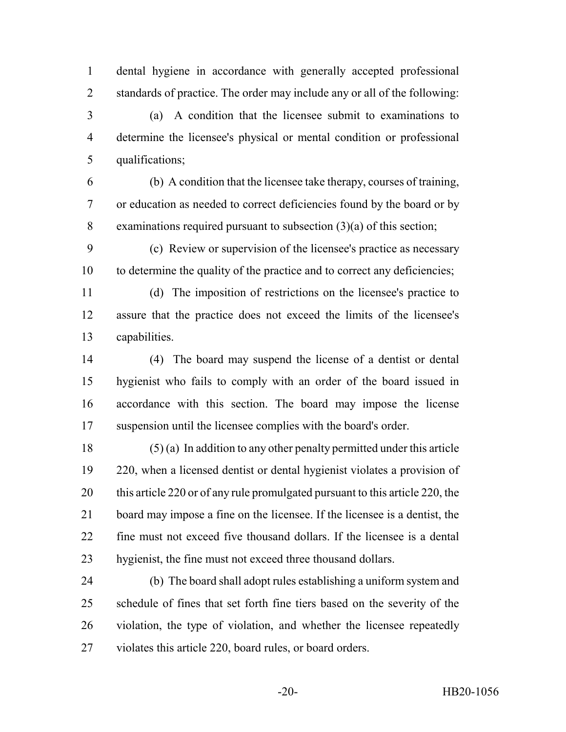dental hygiene in accordance with generally accepted professional standards of practice. The order may include any or all of the following:

 (a) A condition that the licensee submit to examinations to determine the licensee's physical or mental condition or professional qualifications;

 (b) A condition that the licensee take therapy, courses of training, or education as needed to correct deficiencies found by the board or by examinations required pursuant to subsection (3)(a) of this section;

 (c) Review or supervision of the licensee's practice as necessary to determine the quality of the practice and to correct any deficiencies;

 (d) The imposition of restrictions on the licensee's practice to assure that the practice does not exceed the limits of the licensee's capabilities.

 (4) The board may suspend the license of a dentist or dental hygienist who fails to comply with an order of the board issued in accordance with this section. The board may impose the license suspension until the licensee complies with the board's order.

 (5) (a) In addition to any other penalty permitted under this article 220, when a licensed dentist or dental hygienist violates a provision of this article 220 or of any rule promulgated pursuant to this article 220, the board may impose a fine on the licensee. If the licensee is a dentist, the fine must not exceed five thousand dollars. If the licensee is a dental hygienist, the fine must not exceed three thousand dollars.

 (b) The board shall adopt rules establishing a uniform system and schedule of fines that set forth fine tiers based on the severity of the violation, the type of violation, and whether the licensee repeatedly violates this article 220, board rules, or board orders.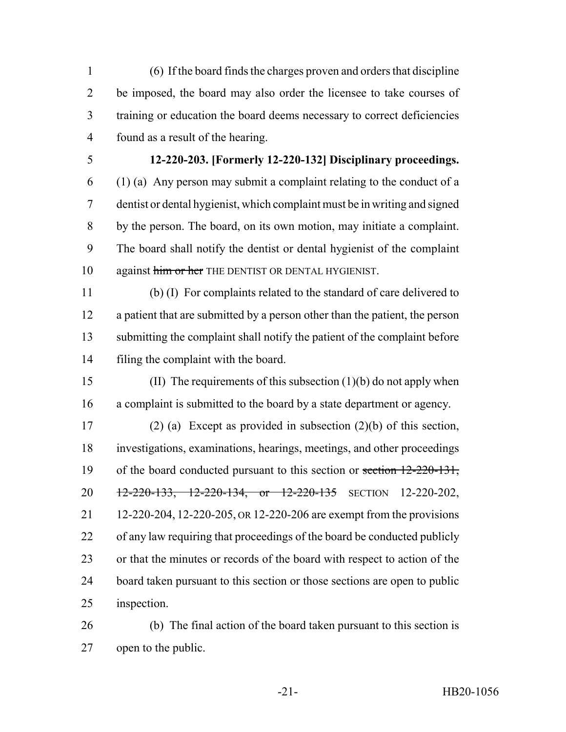(6) If the board finds the charges proven and orders that discipline be imposed, the board may also order the licensee to take courses of training or education the board deems necessary to correct deficiencies found as a result of the hearing.

### **12-220-203. [Formerly 12-220-132] Disciplinary proceedings.**

 (1) (a) Any person may submit a complaint relating to the conduct of a dentist or dental hygienist, which complaint must be in writing and signed by the person. The board, on its own motion, may initiate a complaint. The board shall notify the dentist or dental hygienist of the complaint 10 against him or her THE DENTIST OR DENTAL HYGIENIST.

 (b) (I) For complaints related to the standard of care delivered to a patient that are submitted by a person other than the patient, the person submitting the complaint shall notify the patient of the complaint before filing the complaint with the board.

 (II) The requirements of this subsection (1)(b) do not apply when a complaint is submitted to the board by a state department or agency.

 (2) (a) Except as provided in subsection (2)(b) of this section, investigations, examinations, hearings, meetings, and other proceedings 19 of the board conducted pursuant to this section or section 12-220-131, 20 12-220-133, 12-220-134, or 12-220-135 SECTION 12-220-202, 12-220-204, 12-220-205, OR 12-220-206 are exempt from the provisions of any law requiring that proceedings of the board be conducted publicly or that the minutes or records of the board with respect to action of the board taken pursuant to this section or those sections are open to public inspection.

 (b) The final action of the board taken pursuant to this section is open to the public.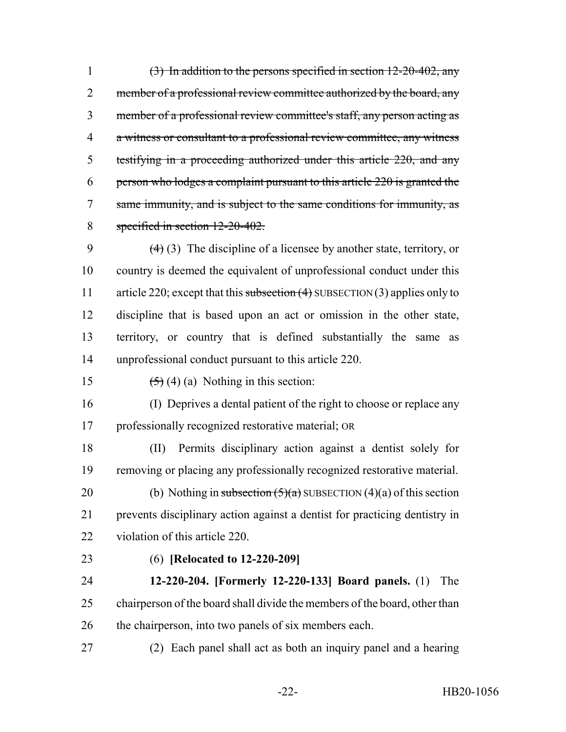1 (3) In addition to the persons specified in section  $12-20-402$ , any 2 member of a professional review committee authorized by the board, any member of a professional review committee's staff, any person acting as a witness or consultant to a professional review committee, any witness testifying in a proceeding authorized under this article 220, and any person who lodges a complaint pursuant to this article 220 is granted the same immunity, and is subject to the same conditions for immunity, as specified in section 12-20-402.

 $(4)$  (3) The discipline of a licensee by another state, territory, or country is deemed the equivalent of unprofessional conduct under this 11 article 220; except that this subsection (4) SUBSECTION (3) applies only to discipline that is based upon an act or omission in the other state, territory, or country that is defined substantially the same as unprofessional conduct pursuant to this article 220.

15  $(5)(4)(a)$  Nothing in this section:

 (I) Deprives a dental patient of the right to choose or replace any professionally recognized restorative material; OR

 (II) Permits disciplinary action against a dentist solely for removing or placing any professionally recognized restorative material.

20 (b) Nothing in subsection  $(5)(a)$  SUBSECTION  $(4)(a)$  of this section prevents disciplinary action against a dentist for practicing dentistry in violation of this article 220.

## (6) **[Relocated to 12-220-209]**

 **12-220-204. [Formerly 12-220-133] Board panels.** (1) The chairperson of the board shall divide the members of the board, other than 26 the chairperson, into two panels of six members each.

(2) Each panel shall act as both an inquiry panel and a hearing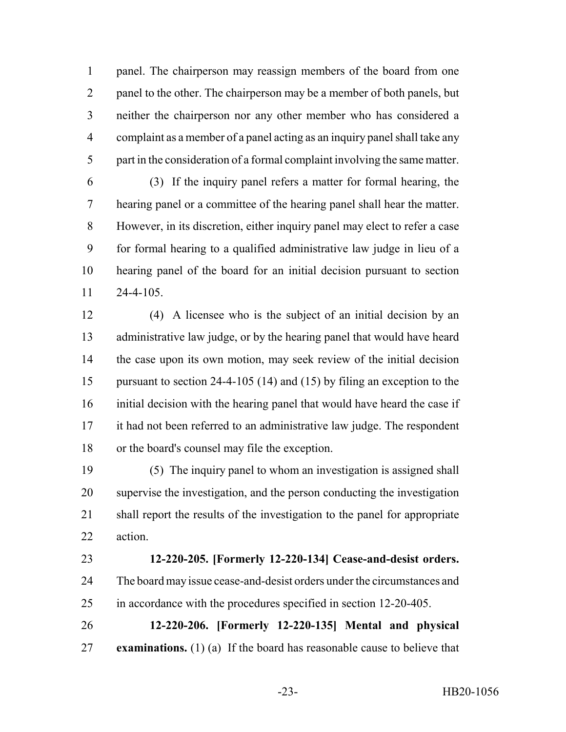panel. The chairperson may reassign members of the board from one panel to the other. The chairperson may be a member of both panels, but neither the chairperson nor any other member who has considered a complaint as a member of a panel acting as an inquiry panel shall take any part in the consideration of a formal complaint involving the same matter.

 (3) If the inquiry panel refers a matter for formal hearing, the hearing panel or a committee of the hearing panel shall hear the matter. However, in its discretion, either inquiry panel may elect to refer a case for formal hearing to a qualified administrative law judge in lieu of a hearing panel of the board for an initial decision pursuant to section 24-4-105.

 (4) A licensee who is the subject of an initial decision by an administrative law judge, or by the hearing panel that would have heard the case upon its own motion, may seek review of the initial decision pursuant to section 24-4-105 (14) and (15) by filing an exception to the initial decision with the hearing panel that would have heard the case if it had not been referred to an administrative law judge. The respondent or the board's counsel may file the exception.

 (5) The inquiry panel to whom an investigation is assigned shall supervise the investigation, and the person conducting the investigation shall report the results of the investigation to the panel for appropriate action.

## **12-220-205. [Formerly 12-220-134] Cease-and-desist orders.**

 The board may issue cease-and-desist orders under the circumstances and in accordance with the procedures specified in section 12-20-405.

 **12-220-206. [Formerly 12-220-135] Mental and physical examinations.** (1) (a) If the board has reasonable cause to believe that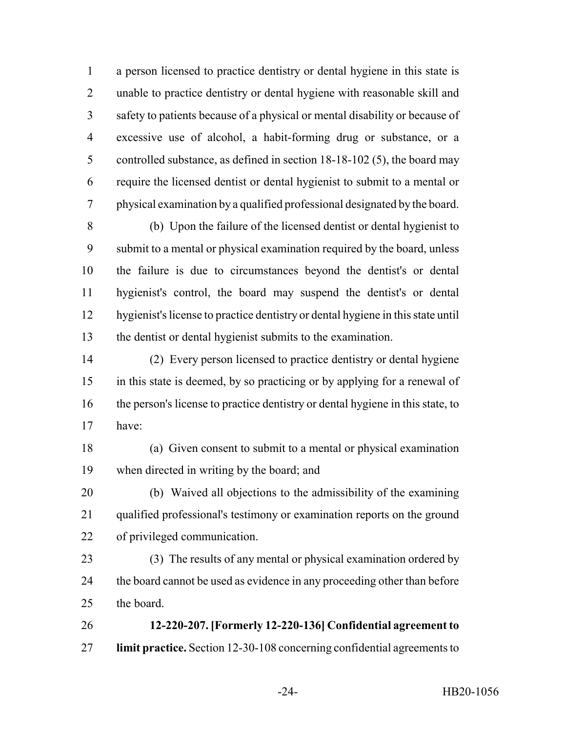a person licensed to practice dentistry or dental hygiene in this state is unable to practice dentistry or dental hygiene with reasonable skill and safety to patients because of a physical or mental disability or because of excessive use of alcohol, a habit-forming drug or substance, or a controlled substance, as defined in section 18-18-102 (5), the board may require the licensed dentist or dental hygienist to submit to a mental or physical examination by a qualified professional designated by the board.

 (b) Upon the failure of the licensed dentist or dental hygienist to submit to a mental or physical examination required by the board, unless the failure is due to circumstances beyond the dentist's or dental hygienist's control, the board may suspend the dentist's or dental hygienist's license to practice dentistry or dental hygiene in this state until the dentist or dental hygienist submits to the examination.

 (2) Every person licensed to practice dentistry or dental hygiene in this state is deemed, by so practicing or by applying for a renewal of the person's license to practice dentistry or dental hygiene in this state, to have:

 (a) Given consent to submit to a mental or physical examination when directed in writing by the board; and

 (b) Waived all objections to the admissibility of the examining qualified professional's testimony or examination reports on the ground of privileged communication.

- (3) The results of any mental or physical examination ordered by 24 the board cannot be used as evidence in any proceeding other than before the board.
- **12-220-207. [Formerly 12-220-136] Confidential agreement to limit practice.** Section 12-30-108 concerning confidential agreements to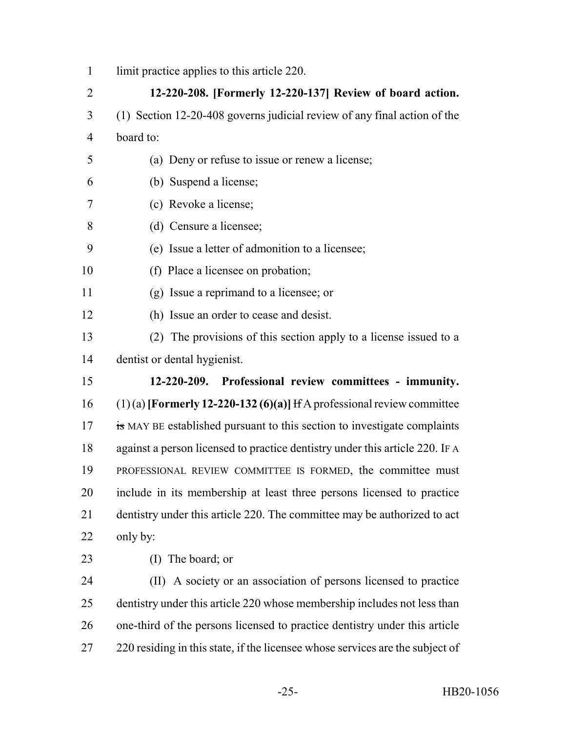| $\mathbf{1}$   | limit practice applies to this article 220.                                   |
|----------------|-------------------------------------------------------------------------------|
| $\overline{2}$ | 12-220-208. [Formerly 12-220-137] Review of board action.                     |
| 3              | (1) Section 12-20-408 governs judicial review of any final action of the      |
| $\overline{4}$ | board to:                                                                     |
| 5              | (a) Deny or refuse to issue or renew a license;                               |
| 6              | (b) Suspend a license;                                                        |
| 7              | (c) Revoke a license;                                                         |
| 8              | (d) Censure a licensee;                                                       |
| 9              | (e) Issue a letter of admonition to a licensee;                               |
| 10             | (f) Place a licensee on probation;                                            |
| 11             | (g) Issue a reprimand to a licensee; or                                       |
| 12             | (h) Issue an order to cease and desist.                                       |
| 13             | (2) The provisions of this section apply to a license issued to a             |
| 14             | dentist or dental hygienist.                                                  |
| 15             | 12-220-209. Professional review committees - immunity.                        |
| 16             | $(1)(a)$ [Formerly 12-220-132 (6)(a)] If A professional review committee      |
| 17             | is MAY BE established pursuant to this section to investigate complaints      |
| 18             | against a person licensed to practice dentistry under this article 220. IF A  |
| 19             | PROFESSIONAL REVIEW COMMITTEE IS FORMED, the committee must                   |
| 20             | include in its membership at least three persons licensed to practice         |
| 21             | dentistry under this article 220. The committee may be authorized to act      |
| 22             | only by:                                                                      |
| 23             | (I) The board; or                                                             |
| 24             | (II) A society or an association of persons licensed to practice              |
| 25             | dentistry under this article 220 whose membership includes not less than      |
| 26             | one-third of the persons licensed to practice dentistry under this article    |
| 27             | 220 residing in this state, if the licensee whose services are the subject of |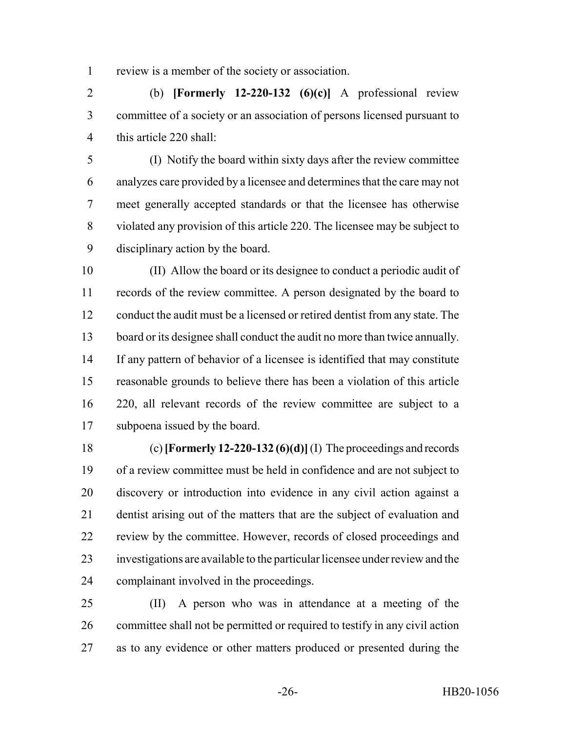review is a member of the society or association.

 (b) **[Formerly 12-220-132 (6)(c)]** A professional review committee of a society or an association of persons licensed pursuant to this article 220 shall:

 (I) Notify the board within sixty days after the review committee analyzes care provided by a licensee and determines that the care may not meet generally accepted standards or that the licensee has otherwise violated any provision of this article 220. The licensee may be subject to disciplinary action by the board.

 (II) Allow the board or its designee to conduct a periodic audit of records of the review committee. A person designated by the board to conduct the audit must be a licensed or retired dentist from any state. The board or its designee shall conduct the audit no more than twice annually. If any pattern of behavior of a licensee is identified that may constitute reasonable grounds to believe there has been a violation of this article 220, all relevant records of the review committee are subject to a subpoena issued by the board.

 (c) **[Formerly 12-220-132 (6)(d)]** (I) The proceedings and records of a review committee must be held in confidence and are not subject to discovery or introduction into evidence in any civil action against a dentist arising out of the matters that are the subject of evaluation and review by the committee. However, records of closed proceedings and investigations are available to the particular licensee under review and the complainant involved in the proceedings.

 (II) A person who was in attendance at a meeting of the committee shall not be permitted or required to testify in any civil action as to any evidence or other matters produced or presented during the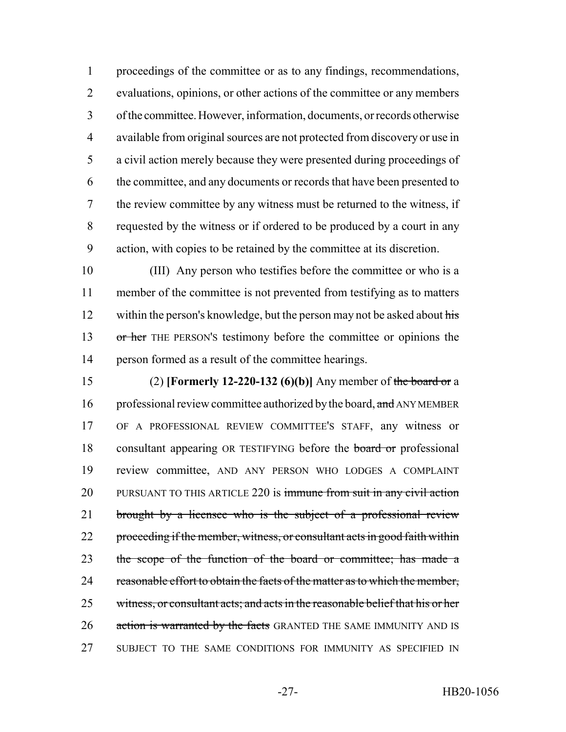proceedings of the committee or as to any findings, recommendations, evaluations, opinions, or other actions of the committee or any members of the committee. However, information, documents, or records otherwise available from original sources are not protected from discovery or use in a civil action merely because they were presented during proceedings of the committee, and any documents or records that have been presented to the review committee by any witness must be returned to the witness, if requested by the witness or if ordered to be produced by a court in any action, with copies to be retained by the committee at its discretion.

 (III) Any person who testifies before the committee or who is a member of the committee is not prevented from testifying as to matters 12 within the person's knowledge, but the person may not be asked about his 13 or her THE PERSON's testimony before the committee or opinions the person formed as a result of the committee hearings.

 (2) **[Formerly 12-220-132 (6)(b)]** Any member of the board or a 16 professional review committee authorized by the board, and ANY MEMBER OF A PROFESSIONAL REVIEW COMMITTEE'S STAFF, any witness or 18 consultant appearing OR TESTIFYING before the **board or** professional review committee, AND ANY PERSON WHO LODGES A COMPLAINT 20 PURSUANT TO THIS ARTICLE 220 is immune from suit in any civil action 21 brought by a licensee who is the subject of a professional review 22 proceeding if the member, witness, or consultant acts in good faith within the scope of the function of the board or committee; has made a reasonable effort to obtain the facts of the matter as to which the member, witness, or consultant acts; and acts in the reasonable belief that his or her 26 action is warranted by the facts GRANTED THE SAME IMMUNITY AND IS SUBJECT TO THE SAME CONDITIONS FOR IMMUNITY AS SPECIFIED IN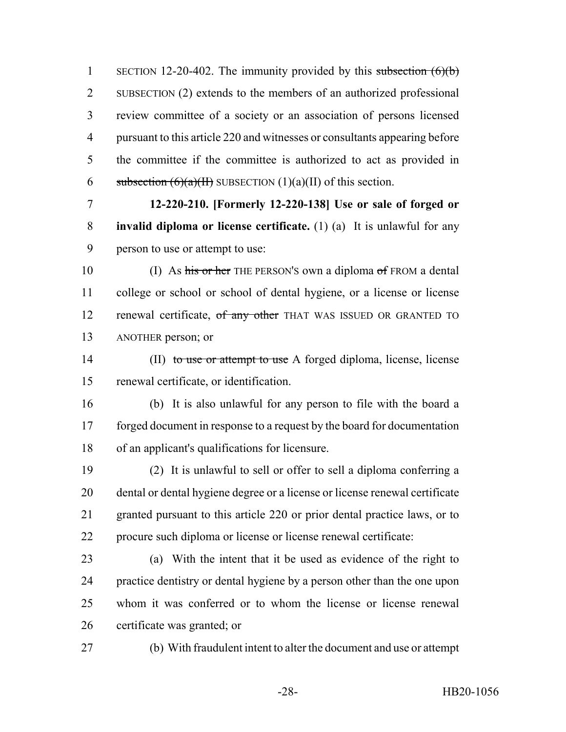1 SECTION 12-20-402. The immunity provided by this subsection  $(6)(b)$  SUBSECTION (2) extends to the members of an authorized professional review committee of a society or an association of persons licensed pursuant to this article 220 and witnesses or consultants appearing before the committee if the committee is authorized to act as provided in 6 subsection  $(6)(a)(H)$  SUBSECTION  $(1)(a)(H)$  of this section.

 **12-220-210. [Formerly 12-220-138] Use or sale of forged or invalid diploma or license certificate.** (1) (a) It is unlawful for any person to use or attempt to use:

10 (I) As his or her THE PERSON'S own a diploma of FROM a dental college or school or school of dental hygiene, or a license or license 12 renewal certificate, of any other THAT WAS ISSUED OR GRANTED TO ANOTHER person; or

14 (II) to use or attempt to use A forged diploma, license, license renewal certificate, or identification.

 (b) It is also unlawful for any person to file with the board a forged document in response to a request by the board for documentation of an applicant's qualifications for licensure.

 (2) It is unlawful to sell or offer to sell a diploma conferring a dental or dental hygiene degree or a license or license renewal certificate granted pursuant to this article 220 or prior dental practice laws, or to procure such diploma or license or license renewal certificate:

 (a) With the intent that it be used as evidence of the right to practice dentistry or dental hygiene by a person other than the one upon whom it was conferred or to whom the license or license renewal certificate was granted; or

(b) With fraudulent intent to alter the document and use or attempt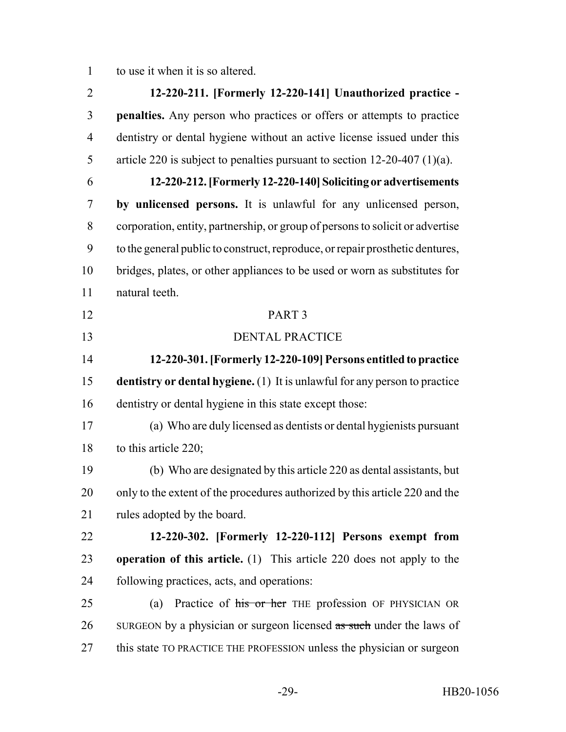to use it when it is so altered.

 **12-220-211. [Formerly 12-220-141] Unauthorized practice - penalties.** Any person who practices or offers or attempts to practice dentistry or dental hygiene without an active license issued under this article 220 is subject to penalties pursuant to section 12-20-407 (1)(a). **12-220-212. [Formerly 12-220-140] Soliciting or advertisements by unlicensed persons.** It is unlawful for any unlicensed person, corporation, entity, partnership, or group of persons to solicit or advertise to the general public to construct, reproduce, or repair prosthetic dentures, bridges, plates, or other appliances to be used or worn as substitutes for natural teeth. PART 3 DENTAL PRACTICE **12-220-301. [Formerly 12-220-109] Persons entitled to practice dentistry or dental hygiene.** (1) It is unlawful for any person to practice dentistry or dental hygiene in this state except those: (a) Who are duly licensed as dentists or dental hygienists pursuant to this article 220; (b) Who are designated by this article 220 as dental assistants, but only to the extent of the procedures authorized by this article 220 and the rules adopted by the board. **12-220-302. [Formerly 12-220-112] Persons exempt from operation of this article.** (1) This article 220 does not apply to the following practices, acts, and operations: 25 (a) Practice of his or her THE profession OF PHYSICIAN OR 26 SURGEON by a physician or surgeon licensed as such under the laws of this state TO PRACTICE THE PROFESSION unless the physician or surgeon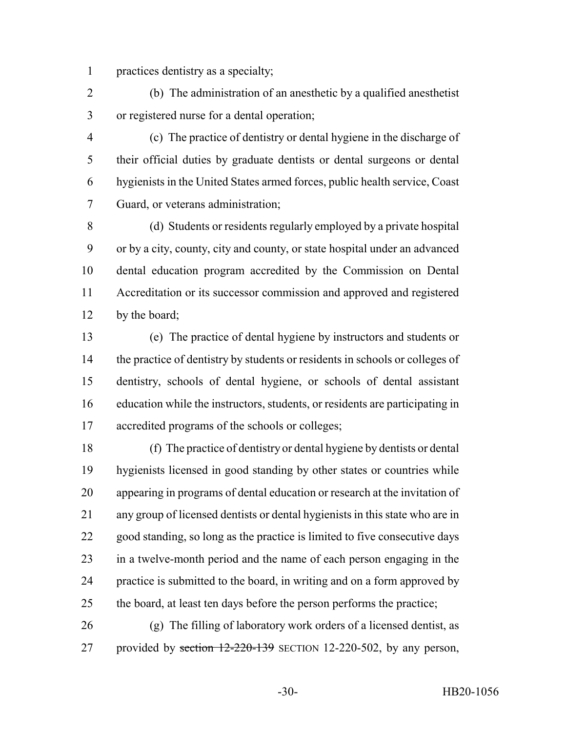practices dentistry as a specialty;

 (b) The administration of an anesthetic by a qualified anesthetist or registered nurse for a dental operation;

 (c) The practice of dentistry or dental hygiene in the discharge of their official duties by graduate dentists or dental surgeons or dental hygienists in the United States armed forces, public health service, Coast Guard, or veterans administration;

 (d) Students or residents regularly employed by a private hospital or by a city, county, city and county, or state hospital under an advanced dental education program accredited by the Commission on Dental Accreditation or its successor commission and approved and registered by the board;

 (e) The practice of dental hygiene by instructors and students or the practice of dentistry by students or residents in schools or colleges of dentistry, schools of dental hygiene, or schools of dental assistant education while the instructors, students, or residents are participating in accredited programs of the schools or colleges;

 (f) The practice of dentistry or dental hygiene by dentists or dental hygienists licensed in good standing by other states or countries while appearing in programs of dental education or research at the invitation of any group of licensed dentists or dental hygienists in this state who are in good standing, so long as the practice is limited to five consecutive days in a twelve-month period and the name of each person engaging in the practice is submitted to the board, in writing and on a form approved by the board, at least ten days before the person performs the practice;

 (g) The filling of laboratory work orders of a licensed dentist, as 27 provided by section 12-220-139 SECTION 12-220-502, by any person,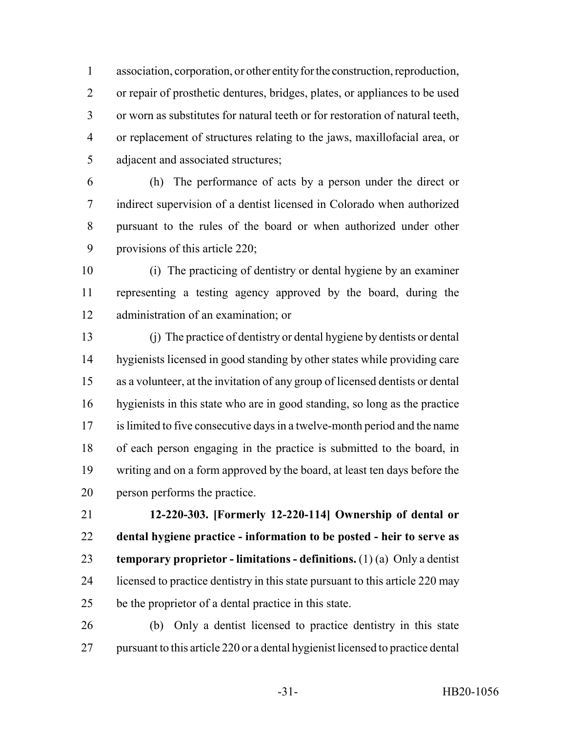association, corporation, or other entity for the construction, reproduction, or repair of prosthetic dentures, bridges, plates, or appliances to be used or worn as substitutes for natural teeth or for restoration of natural teeth, or replacement of structures relating to the jaws, maxillofacial area, or adjacent and associated structures;

 (h) The performance of acts by a person under the direct or indirect supervision of a dentist licensed in Colorado when authorized pursuant to the rules of the board or when authorized under other provisions of this article 220;

 (i) The practicing of dentistry or dental hygiene by an examiner representing a testing agency approved by the board, during the administration of an examination; or

 (j) The practice of dentistry or dental hygiene by dentists or dental hygienists licensed in good standing by other states while providing care as a volunteer, at the invitation of any group of licensed dentists or dental hygienists in this state who are in good standing, so long as the practice is limited to five consecutive days in a twelve-month period and the name of each person engaging in the practice is submitted to the board, in writing and on a form approved by the board, at least ten days before the person performs the practice.

 **12-220-303. [Formerly 12-220-114] Ownership of dental or dental hygiene practice - information to be posted - heir to serve as temporary proprietor - limitations - definitions.** (1) (a) Only a dentist 24 licensed to practice dentistry in this state pursuant to this article 220 may be the proprietor of a dental practice in this state.

 (b) Only a dentist licensed to practice dentistry in this state pursuant to this article 220 or a dental hygienist licensed to practice dental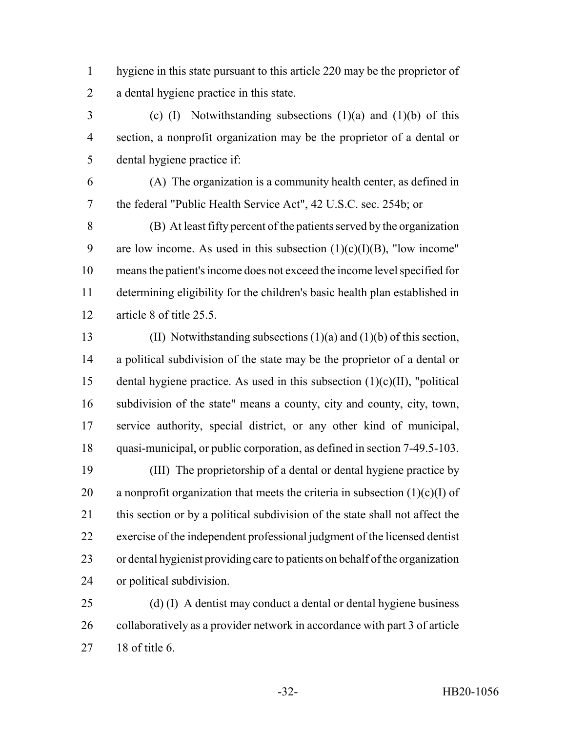hygiene in this state pursuant to this article 220 may be the proprietor of a dental hygiene practice in this state.

 (c) (I) Notwithstanding subsections (1)(a) and (1)(b) of this section, a nonprofit organization may be the proprietor of a dental or dental hygiene practice if:

 (A) The organization is a community health center, as defined in the federal "Public Health Service Act", 42 U.S.C. sec. 254b; or

 (B) At least fifty percent of the patients served by the organization 9 are low income. As used in this subsection  $(1)(c)(I)(B)$ , "low income" means the patient's income does not exceed the income level specified for determining eligibility for the children's basic health plan established in article 8 of title 25.5.

 (II) Notwithstanding subsections (1)(a) and (1)(b) of this section, a political subdivision of the state may be the proprietor of a dental or 15 dental hygiene practice. As used in this subsection  $(1)(c)(II)$ , "political" subdivision of the state" means a county, city and county, city, town, service authority, special district, or any other kind of municipal, quasi-municipal, or public corporation, as defined in section 7-49.5-103.

 (III) The proprietorship of a dental or dental hygiene practice by 20 a nonprofit organization that meets the criteria in subsection  $(1)(c)(I)$  of this section or by a political subdivision of the state shall not affect the exercise of the independent professional judgment of the licensed dentist or dental hygienist providing care to patients on behalf of the organization or political subdivision.

 (d) (I) A dentist may conduct a dental or dental hygiene business collaboratively as a provider network in accordance with part 3 of article 18 of title 6.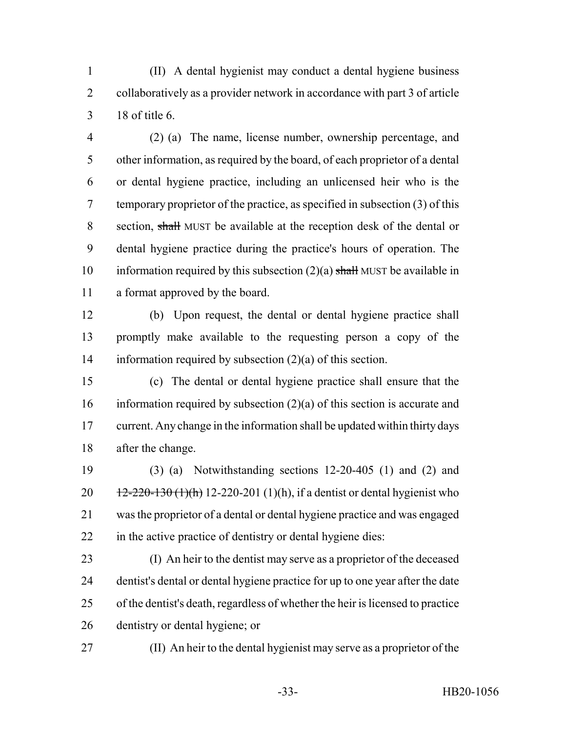(II) A dental hygienist may conduct a dental hygiene business collaboratively as a provider network in accordance with part 3 of article 18 of title 6.

 (2) (a) The name, license number, ownership percentage, and other information, as required by the board, of each proprietor of a dental or dental hygiene practice, including an unlicensed heir who is the temporary proprietor of the practice, as specified in subsection (3) of this section, shall MUST be available at the reception desk of the dental or dental hygiene practice during the practice's hours of operation. The 10 information required by this subsection  $(2)(a)$  shall MUST be available in a format approved by the board.

 (b) Upon request, the dental or dental hygiene practice shall promptly make available to the requesting person a copy of the information required by subsection (2)(a) of this section.

 (c) The dental or dental hygiene practice shall ensure that the information required by subsection (2)(a) of this section is accurate and current. Any change in the information shall be updated within thirty days after the change.

 (3) (a) Notwithstanding sections 12-20-405 (1) and (2) and  $12-220-130$  (1)(h) 12-220-201 (1)(h), if a dentist or dental hygienist who was the proprietor of a dental or dental hygiene practice and was engaged in the active practice of dentistry or dental hygiene dies:

 (I) An heir to the dentist may serve as a proprietor of the deceased dentist's dental or dental hygiene practice for up to one year after the date of the dentist's death, regardless of whether the heir is licensed to practice dentistry or dental hygiene; or

(II) An heir to the dental hygienist may serve as a proprietor of the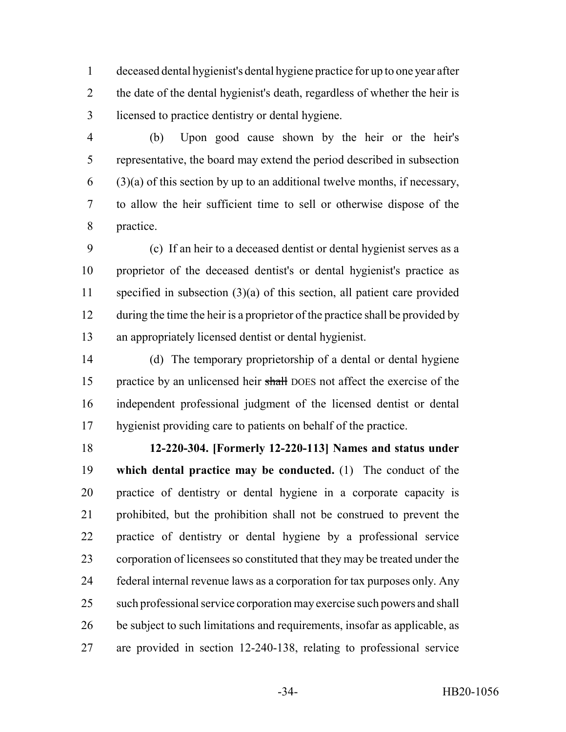deceased dental hygienist's dental hygiene practice for up to one year after the date of the dental hygienist's death, regardless of whether the heir is licensed to practice dentistry or dental hygiene.

 (b) Upon good cause shown by the heir or the heir's representative, the board may extend the period described in subsection  $(3)(a)$  of this section by up to an additional twelve months, if necessary, to allow the heir sufficient time to sell or otherwise dispose of the practice.

 (c) If an heir to a deceased dentist or dental hygienist serves as a proprietor of the deceased dentist's or dental hygienist's practice as specified in subsection (3)(a) of this section, all patient care provided 12 during the time the heir is a proprietor of the practice shall be provided by an appropriately licensed dentist or dental hygienist.

 (d) The temporary proprietorship of a dental or dental hygiene 15 practice by an unlicensed heir shall DOES not affect the exercise of the independent professional judgment of the licensed dentist or dental hygienist providing care to patients on behalf of the practice.

 **12-220-304. [Formerly 12-220-113] Names and status under which dental practice may be conducted.** (1) The conduct of the practice of dentistry or dental hygiene in a corporate capacity is prohibited, but the prohibition shall not be construed to prevent the practice of dentistry or dental hygiene by a professional service corporation of licensees so constituted that they may be treated under the federal internal revenue laws as a corporation for tax purposes only. Any such professional service corporation may exercise such powers and shall be subject to such limitations and requirements, insofar as applicable, as are provided in section 12-240-138, relating to professional service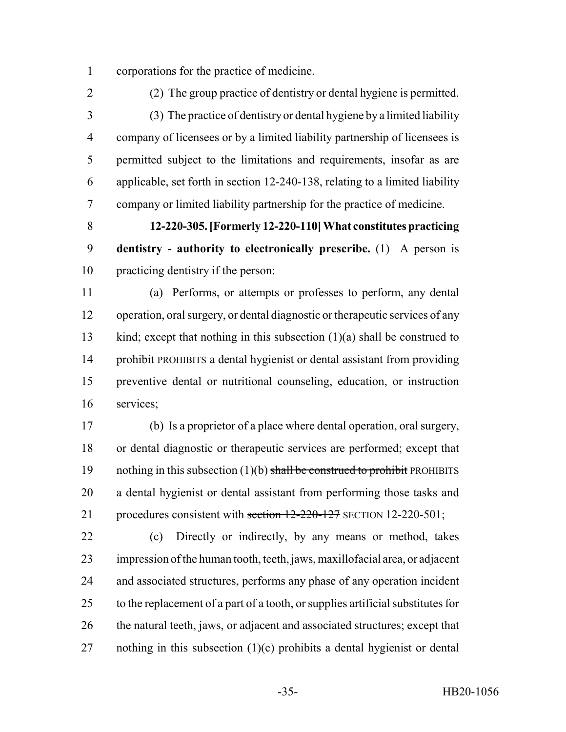corporations for the practice of medicine.

 (2) The group practice of dentistry or dental hygiene is permitted. (3) The practice of dentistry or dental hygiene by a limited liability company of licensees or by a limited liability partnership of licensees is permitted subject to the limitations and requirements, insofar as are applicable, set forth in section 12-240-138, relating to a limited liability company or limited liability partnership for the practice of medicine.

 **12-220-305. [Formerly 12-220-110] What constitutes practicing dentistry - authority to electronically prescribe.** (1) A person is practicing dentistry if the person:

 (a) Performs, or attempts or professes to perform, any dental operation, oral surgery, or dental diagnostic or therapeutic services of any 13 kind; except that nothing in this subsection  $(1)(a)$  shall be construed to 14 prohibit PROHIBITS a dental hygienist or dental assistant from providing preventive dental or nutritional counseling, education, or instruction services;

 (b) Is a proprietor of a place where dental operation, oral surgery, or dental diagnostic or therapeutic services are performed; except that 19 nothing in this subsection  $(1)(b)$  shall be construed to prohibit PROHIBITS a dental hygienist or dental assistant from performing those tasks and 21 procedures consistent with section 12-220-127 SECTION 12-220-501;

 (c) Directly or indirectly, by any means or method, takes impression of the human tooth, teeth, jaws, maxillofacial area, or adjacent and associated structures, performs any phase of any operation incident to the replacement of a part of a tooth, or supplies artificial substitutes for the natural teeth, jaws, or adjacent and associated structures; except that 27 nothing in this subsection  $(1)(c)$  prohibits a dental hygienist or dental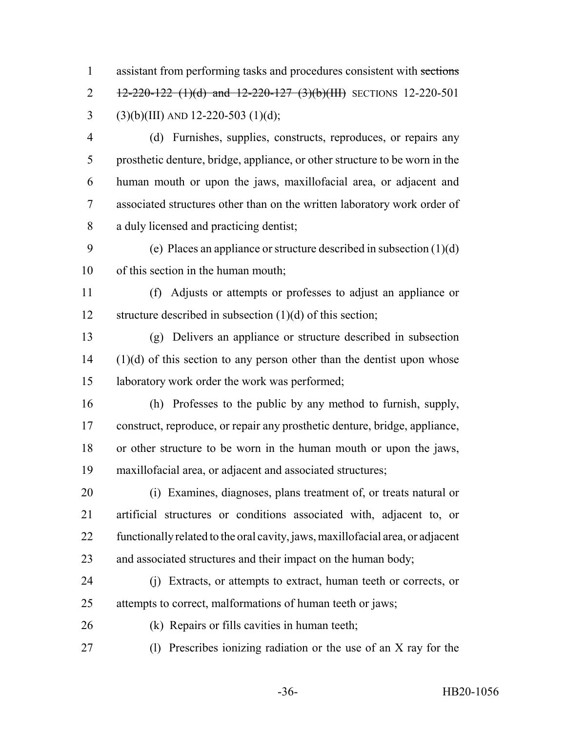assistant from performing tasks and procedures consistent with sections 2 12-220-122 (1)(d) and 12-220-127 (3)(b)(III) SECTIONS 12-220-501 3 (3)(b)(III) AND 12-220-503 (1)(d);

- (d) Furnishes, supplies, constructs, reproduces, or repairs any prosthetic denture, bridge, appliance, or other structure to be worn in the human mouth or upon the jaws, maxillofacial area, or adjacent and associated structures other than on the written laboratory work order of a duly licensed and practicing dentist;
- (e) Places an appliance or structure described in subsection (1)(d) of this section in the human mouth;

 (f) Adjusts or attempts or professes to adjust an appliance or 12 structure described in subsection (1)(d) of this section;

 (g) Delivers an appliance or structure described in subsection (1)(d) of this section to any person other than the dentist upon whose laboratory work order the work was performed;

 (h) Professes to the public by any method to furnish, supply, construct, reproduce, or repair any prosthetic denture, bridge, appliance, or other structure to be worn in the human mouth or upon the jaws, maxillofacial area, or adjacent and associated structures;

 (i) Examines, diagnoses, plans treatment of, or treats natural or artificial structures or conditions associated with, adjacent to, or functionally related to the oral cavity, jaws, maxillofacial area, or adjacent and associated structures and their impact on the human body;

- (j) Extracts, or attempts to extract, human teeth or corrects, or attempts to correct, malformations of human teeth or jaws;
- (k) Repairs or fills cavities in human teeth;
- (l) Prescribes ionizing radiation or the use of an X ray for the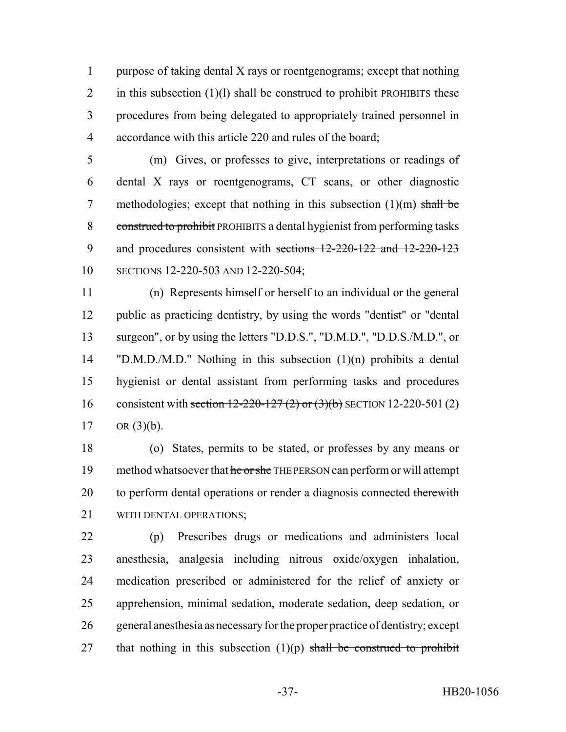purpose of taking dental X rays or roentgenograms; except that nothing 2 in this subsection  $(1)(1)$  shall be construed to prohibit PROHIBITS these procedures from being delegated to appropriately trained personnel in accordance with this article 220 and rules of the board;

 (m) Gives, or professes to give, interpretations or readings of dental X rays or roentgenograms, CT scans, or other diagnostic 7 methodologies; except that nothing in this subsection  $(1)(m)$  shall be construed to prohibit PROHIBITS a dental hygienist from performing tasks and procedures consistent with sections 12-220-122 and 12-220-123 SECTIONS 12-220-503 AND 12-220-504;

 (n) Represents himself or herself to an individual or the general public as practicing dentistry, by using the words "dentist" or "dental surgeon", or by using the letters "D.D.S.", "D.M.D.", "D.D.S./M.D.", or "D.M.D./M.D." Nothing in this subsection (1)(n) prohibits a dental hygienist or dental assistant from performing tasks and procedures 16 consistent with section 12-220-127 (2) or (3)(b) SECTION 12-220-501 (2) 17 OR  $(3)(b)$ .

 (o) States, permits to be stated, or professes by any means or 19 method whatsoever that he or she THE PERSON can perform or will attempt 20 to perform dental operations or render a diagnosis connected therewith WITH DENTAL OPERATIONS;

 (p) Prescribes drugs or medications and administers local anesthesia, analgesia including nitrous oxide/oxygen inhalation, medication prescribed or administered for the relief of anxiety or apprehension, minimal sedation, moderate sedation, deep sedation, or general anesthesia as necessary for the proper practice of dentistry; except 27 that nothing in this subsection  $(1)(p)$  shall be construed to prohibit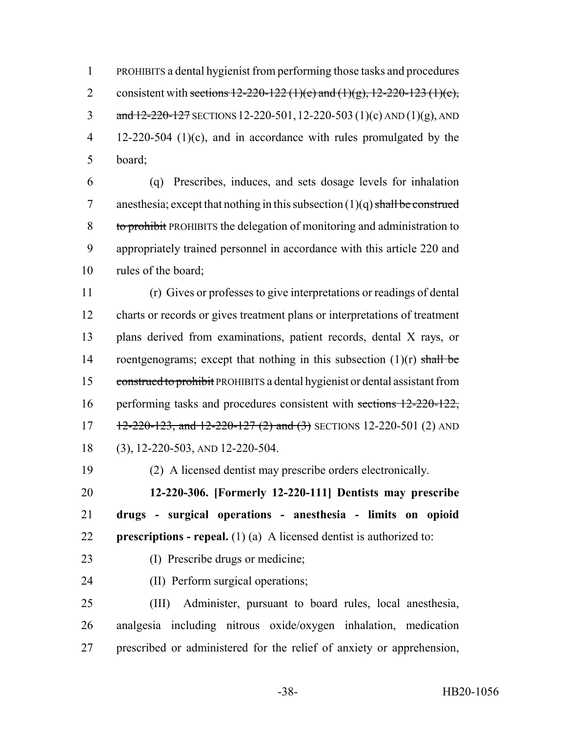PROHIBITS a dental hygienist from performing those tasks and procedures 2 consistent with sections  $12-220-122$  (1)(e) and (1)(g),  $12-220-123$  (1)(c), 3 and  $12-220-127$  SECTIONS 12-220-501, 12-220-503 (1)(c) AND (1)(g), AND 12-220-504 (1)(c), and in accordance with rules promulgated by the board;

 (q) Prescribes, induces, and sets dosage levels for inhalation 7 anesthesia; except that nothing in this subsection  $(1)(q)$  shall be construed to prohibit PROHIBITS the delegation of monitoring and administration to appropriately trained personnel in accordance with this article 220 and rules of the board;

 (r) Gives or professes to give interpretations or readings of dental charts or records or gives treatment plans or interpretations of treatment plans derived from examinations, patient records, dental X rays, or 14 roentgenograms; except that nothing in this subsection  $(1)(r)$  shall be construed to prohibit PROHIBITS a dental hygienist or dental assistant from 16 performing tasks and procedures consistent with sections 12-220-122,  $12-220-123$ , and  $12-220-127$  (2) and (3) SECTIONS 12-220-501 (2) AND (3), 12-220-503, AND 12-220-504.

(2) A licensed dentist may prescribe orders electronically.

 **12-220-306. [Formerly 12-220-111] Dentists may prescribe drugs - surgical operations - anesthesia - limits on opioid prescriptions - repeal.** (1) (a) A licensed dentist is authorized to:

- (I) Prescribe drugs or medicine;
- (II) Perform surgical operations;

 (III) Administer, pursuant to board rules, local anesthesia, analgesia including nitrous oxide/oxygen inhalation, medication prescribed or administered for the relief of anxiety or apprehension,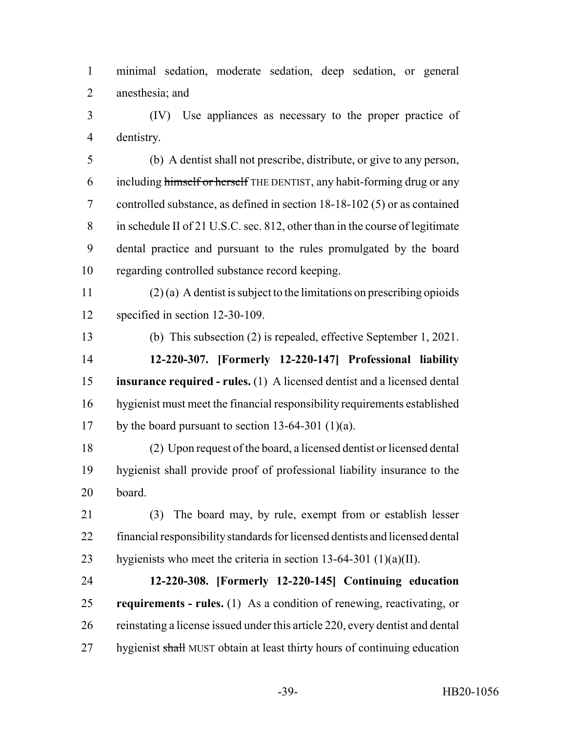minimal sedation, moderate sedation, deep sedation, or general anesthesia; and

 (IV) Use appliances as necessary to the proper practice of dentistry.

 (b) A dentist shall not prescribe, distribute, or give to any person, including himself or herself THE DENTIST, any habit-forming drug or any controlled substance, as defined in section 18-18-102 (5) or as contained in schedule II of 21 U.S.C. sec. 812, other than in the course of legitimate dental practice and pursuant to the rules promulgated by the board regarding controlled substance record keeping.

 (2) (a) A dentist is subject to the limitations on prescribing opioids specified in section 12-30-109.

 (b) This subsection (2) is repealed, effective September 1, 2021. **12-220-307. [Formerly 12-220-147] Professional liability**

 **insurance required - rules.** (1) A licensed dentist and a licensed dental hygienist must meet the financial responsibility requirements established 17 by the board pursuant to section 13-64-301 (1)(a).

 (2) Upon request of the board, a licensed dentist or licensed dental hygienist shall provide proof of professional liability insurance to the board.

 (3) The board may, by rule, exempt from or establish lesser financial responsibility standards for licensed dentists and licensed dental 23 hygienists who meet the criteria in section  $13-64-301$  (1)(a)(II).

 **12-220-308. [Formerly 12-220-145] Continuing education requirements - rules.** (1) As a condition of renewing, reactivating, or reinstating a license issued under this article 220, every dentist and dental 27 hygienist shall MUST obtain at least thirty hours of continuing education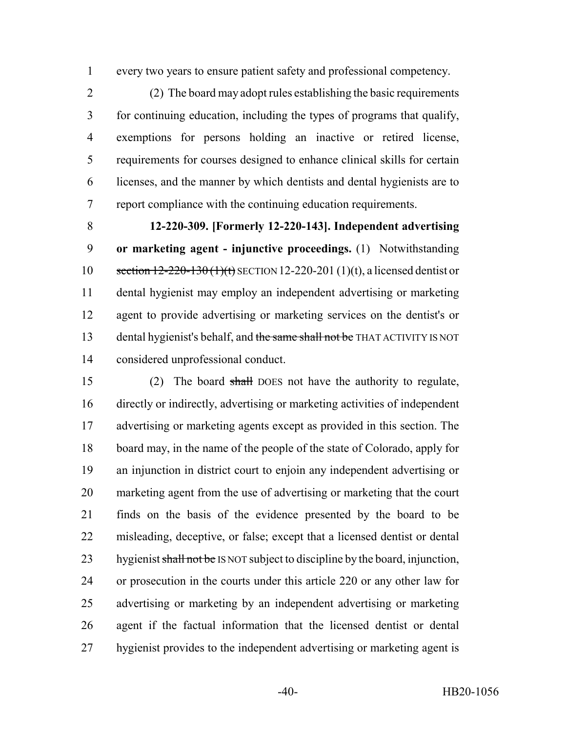every two years to ensure patient safety and professional competency.

 (2) The board may adopt rules establishing the basic requirements for continuing education, including the types of programs that qualify, exemptions for persons holding an inactive or retired license, requirements for courses designed to enhance clinical skills for certain licenses, and the manner by which dentists and dental hygienists are to report compliance with the continuing education requirements.

 **12-220-309. [Formerly 12-220-143]. Independent advertising or marketing agent - injunctive proceedings.** (1) Notwithstanding 10 section 12-220-130 (1)(t) SECTION 12-220-201 (1)(t), a licensed dentist or dental hygienist may employ an independent advertising or marketing agent to provide advertising or marketing services on the dentist's or 13 dental hygienist's behalf, and the same shall not be THAT ACTIVITY IS NOT considered unprofessional conduct.

 (2) The board shall DOES not have the authority to regulate, directly or indirectly, advertising or marketing activities of independent advertising or marketing agents except as provided in this section. The board may, in the name of the people of the state of Colorado, apply for an injunction in district court to enjoin any independent advertising or marketing agent from the use of advertising or marketing that the court finds on the basis of the evidence presented by the board to be misleading, deceptive, or false; except that a licensed dentist or dental 23 hygienist shall not be IS NOT subject to discipline by the board, injunction, or prosecution in the courts under this article 220 or any other law for advertising or marketing by an independent advertising or marketing agent if the factual information that the licensed dentist or dental hygienist provides to the independent advertising or marketing agent is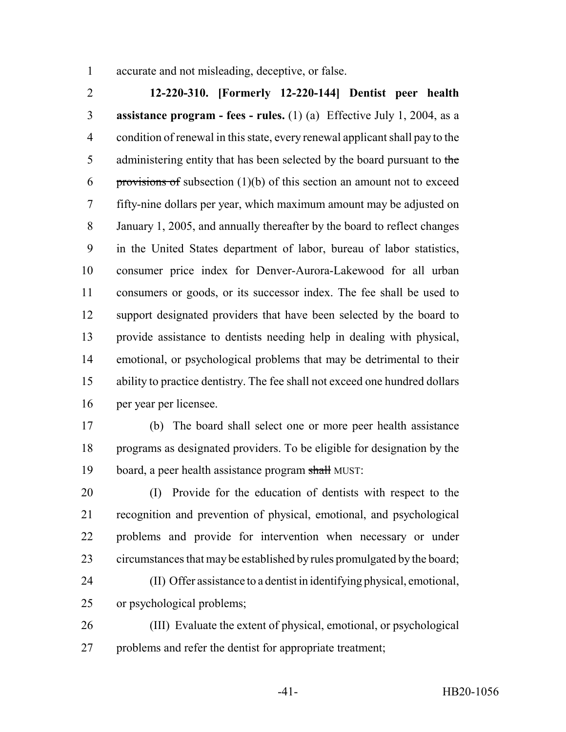accurate and not misleading, deceptive, or false.

 **12-220-310. [Formerly 12-220-144] Dentist peer health assistance program - fees - rules.** (1) (a) Effective July 1, 2004, as a condition of renewal in this state, every renewal applicant shall pay to the 5 administering entity that has been selected by the board pursuant to the 6 provisions of subsection  $(1)(b)$  of this section an amount not to exceed fifty-nine dollars per year, which maximum amount may be adjusted on January 1, 2005, and annually thereafter by the board to reflect changes in the United States department of labor, bureau of labor statistics, consumer price index for Denver-Aurora-Lakewood for all urban consumers or goods, or its successor index. The fee shall be used to support designated providers that have been selected by the board to provide assistance to dentists needing help in dealing with physical, emotional, or psychological problems that may be detrimental to their ability to practice dentistry. The fee shall not exceed one hundred dollars per year per licensee.

 (b) The board shall select one or more peer health assistance programs as designated providers. To be eligible for designation by the board, a peer health assistance program shall MUST:

 (I) Provide for the education of dentists with respect to the recognition and prevention of physical, emotional, and psychological problems and provide for intervention when necessary or under circumstances that may be established by rules promulgated by the board; (II) Offer assistance to a dentist in identifying physical, emotional,

or psychological problems;

 (III) Evaluate the extent of physical, emotional, or psychological problems and refer the dentist for appropriate treatment;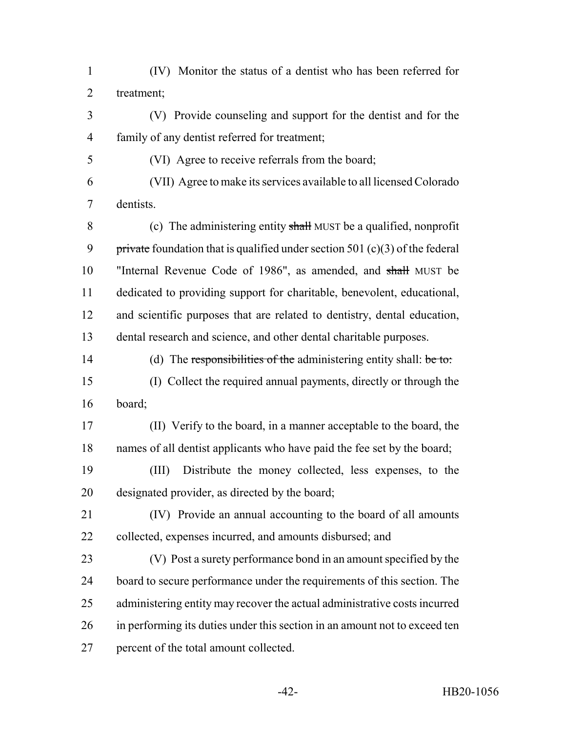(IV) Monitor the status of a dentist who has been referred for treatment;

- (V) Provide counseling and support for the dentist and for the family of any dentist referred for treatment;
- (VI) Agree to receive referrals from the board;
- (VII) Agree to make its services available to all licensed Colorado dentists.

 (c) The administering entity shall MUST be a qualified, nonprofit 9 private foundation that is qualified under section 501  $(c)(3)$  of the federal "Internal Revenue Code of 1986", as amended, and shall MUST be dedicated to providing support for charitable, benevolent, educational, and scientific purposes that are related to dentistry, dental education, dental research and science, and other dental charitable purposes.

14 (d) The responsibilities of the administering entity shall: be to: (I) Collect the required annual payments, directly or through the board;

 (II) Verify to the board, in a manner acceptable to the board, the names of all dentist applicants who have paid the fee set by the board;

 (III) Distribute the money collected, less expenses, to the designated provider, as directed by the board;

- (IV) Provide an annual accounting to the board of all amounts collected, expenses incurred, and amounts disbursed; and
- (V) Post a surety performance bond in an amount specified by the board to secure performance under the requirements of this section. The administering entity may recover the actual administrative costs incurred in performing its duties under this section in an amount not to exceed ten percent of the total amount collected.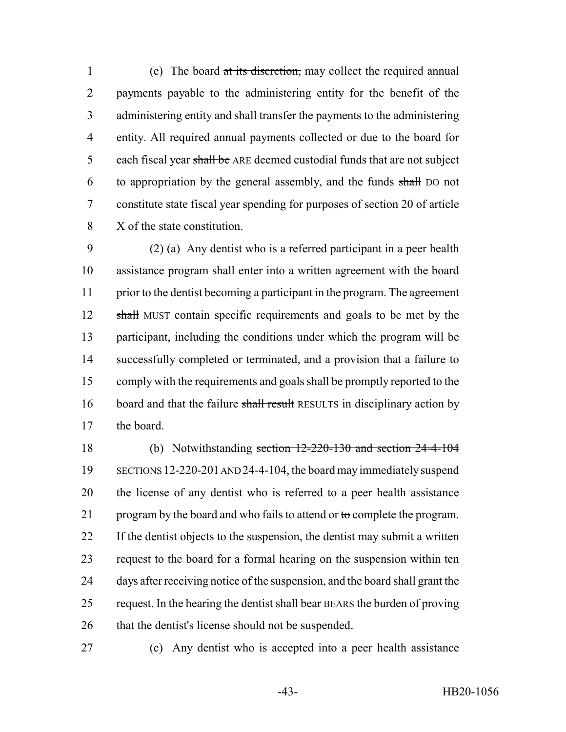(e) The board at its discretion, may collect the required annual payments payable to the administering entity for the benefit of the administering entity and shall transfer the payments to the administering entity. All required annual payments collected or due to the board for 5 each fiscal year shall be ARE deemed custodial funds that are not subject to appropriation by the general assembly, and the funds shall DO not constitute state fiscal year spending for purposes of section 20 of article X of the state constitution.

 (2) (a) Any dentist who is a referred participant in a peer health assistance program shall enter into a written agreement with the board prior to the dentist becoming a participant in the program. The agreement 12 shall MUST contain specific requirements and goals to be met by the participant, including the conditions under which the program will be successfully completed or terminated, and a provision that a failure to comply with the requirements and goals shall be promptly reported to the 16 board and that the failure shall result RESULTS in disciplinary action by the board.

 (b) Notwithstanding section 12-220-130 and section 24-4-104 SECTIONS 12-220-201 AND 24-4-104, the board may immediately suspend the license of any dentist who is referred to a peer health assistance 21 program by the board and who fails to attend or  $\theta$  complete the program. If the dentist objects to the suspension, the dentist may submit a written request to the board for a formal hearing on the suspension within ten days after receiving notice of the suspension, and the board shall grant the 25 request. In the hearing the dentist shall bear BEARS the burden of proving that the dentist's license should not be suspended.

(c) Any dentist who is accepted into a peer health assistance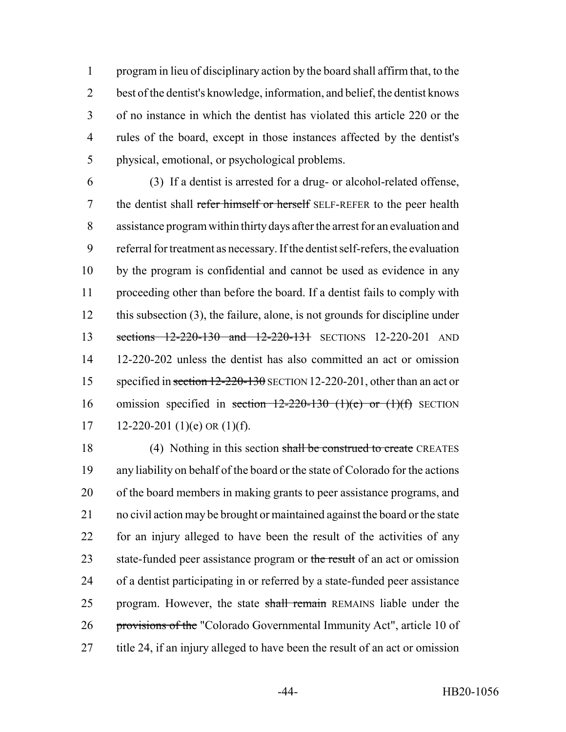program in lieu of disciplinary action by the board shall affirm that, to the best of the dentist's knowledge, information, and belief, the dentist knows of no instance in which the dentist has violated this article 220 or the rules of the board, except in those instances affected by the dentist's physical, emotional, or psychological problems.

 (3) If a dentist is arrested for a drug- or alcohol-related offense, 7 the dentist shall refer himself or herself SELF-REFER to the peer health assistance program within thirty days after the arrest for an evaluation and referral for treatment as necessary. If the dentist self-refers, the evaluation by the program is confidential and cannot be used as evidence in any proceeding other than before the board. If a dentist fails to comply with this subsection (3), the failure, alone, is not grounds for discipline under 13 sections 12-220-130 and 12-220-131 SECTIONS 12-220-201 AND 12-220-202 unless the dentist has also committed an act or omission 15 specified in section 12-220-130 SECTION 12-220-201, other than an act or 16 omission specified in section  $12-220-130$  (1)(e) or (1)(f) SECTION 17 12-220-201 (1)(e) OR (1)(f).

18 (4) Nothing in this section shall be construed to create CREATES any liability on behalf of the board or the state of Colorado for the actions of the board members in making grants to peer assistance programs, and no civil action may be brought or maintained against the board or the state for an injury alleged to have been the result of the activities of any 23 state-funded peer assistance program or the result of an act or omission of a dentist participating in or referred by a state-funded peer assistance 25 program. However, the state shall remain REMAINS liable under the provisions of the "Colorado Governmental Immunity Act", article 10 of title 24, if an injury alleged to have been the result of an act or omission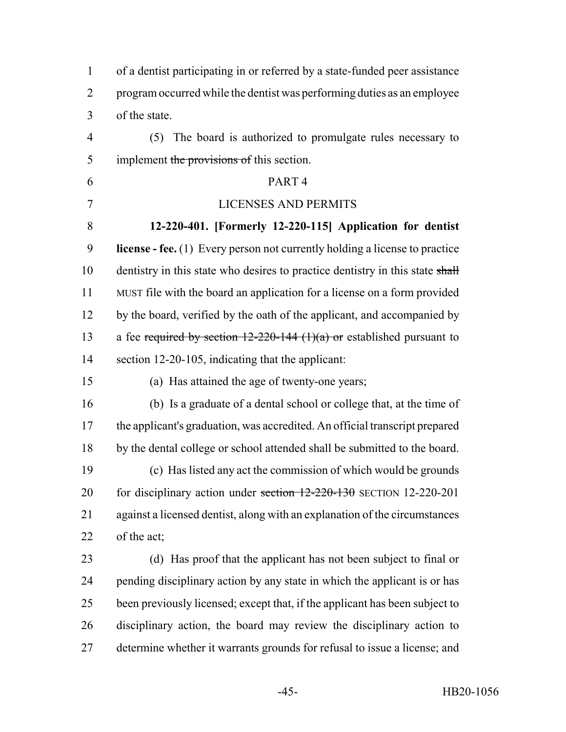| $\mathbf{1}$   | of a dentist participating in or referred by a state-funded peer assistance        |
|----------------|------------------------------------------------------------------------------------|
| $\overline{2}$ | program occurred while the dentist was performing duties as an employee            |
| 3              | of the state.                                                                      |
| $\overline{4}$ | (5) The board is authorized to promulgate rules necessary to                       |
| 5              | implement the provisions of this section.                                          |
| 6              | PART <sub>4</sub>                                                                  |
| 7              | <b>LICENSES AND PERMITS</b>                                                        |
| 8              | 12-220-401. [Formerly 12-220-115] Application for dentist                          |
| 9              | <b>license</b> - fee. (1) Every person not currently holding a license to practice |
| 10             | dentistry in this state who desires to practice dentistry in this state shall      |
| 11             | MUST file with the board an application for a license on a form provided           |
| 12             | by the board, verified by the oath of the applicant, and accompanied by            |
| 13             | a fee required by section $12-220-144$ (1)(a) or established pursuant to           |
| 14             | section 12-20-105, indicating that the applicant:                                  |
| 15             | (a) Has attained the age of twenty-one years;                                      |
| 16             | (b) Is a graduate of a dental school or college that, at the time of               |
| 17             | the applicant's graduation, was accredited. An official transcript prepared        |
| 18             | by the dental college or school attended shall be submitted to the board.          |
| 19             | (c) Has listed any act the commission of which would be grounds                    |
| 20             | for disciplinary action under section $12-220-130$ SECTION 12-220-201              |
| 21             | against a licensed dentist, along with an explanation of the circumstances         |
| 22             | of the act;                                                                        |
| 23             | (d) Has proof that the applicant has not been subject to final or                  |
| 24             | pending disciplinary action by any state in which the applicant is or has          |
| 25             | been previously licensed; except that, if the applicant has been subject to        |
| 26             | disciplinary action, the board may review the disciplinary action to               |
| 27             | determine whether it warrants grounds for refusal to issue a license; and          |
|                |                                                                                    |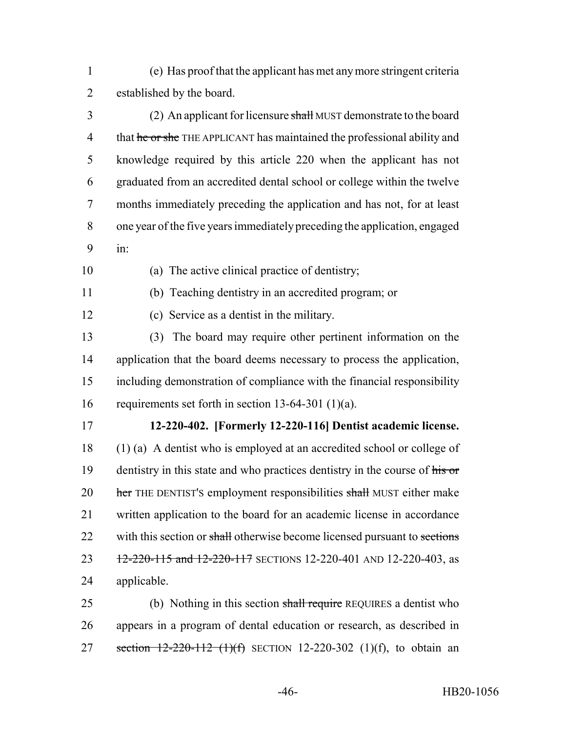- (e) Has proof that the applicant has met any more stringent criteria established by the board.
- (2) An applicant for licensure shall MUST demonstrate to the board 4 that he or she THE APPLICANT has maintained the professional ability and knowledge required by this article 220 when the applicant has not graduated from an accredited dental school or college within the twelve months immediately preceding the application and has not, for at least one year of the five years immediately preceding the application, engaged in:
- 
- (a) The active clinical practice of dentistry;
- 
- (b) Teaching dentistry in an accredited program; or
- - (c) Service as a dentist in the military.

 (3) The board may require other pertinent information on the 14 application that the board deems necessary to process the application, including demonstration of compliance with the financial responsibility requirements set forth in section 13-64-301 (1)(a).

## **12-220-402. [Formerly 12-220-116] Dentist academic license.**

 (1) (a) A dentist who is employed at an accredited school or college of 19 dentistry in this state and who practices dentistry in the course of his or 20 her THE DENTIST's employment responsibilities shall MUST either make written application to the board for an academic license in accordance 22 with this section or shall otherwise become licensed pursuant to sections 23 12-220-115 and 12-220-117 SECTIONS 12-220-401 AND 12-220-403, as applicable.

25 (b) Nothing in this section shall require REQUIRES a dentist who appears in a program of dental education or research, as described in 27 section  $12-220-112$  (1)(f) SECTION 12-220-302 (1)(f), to obtain an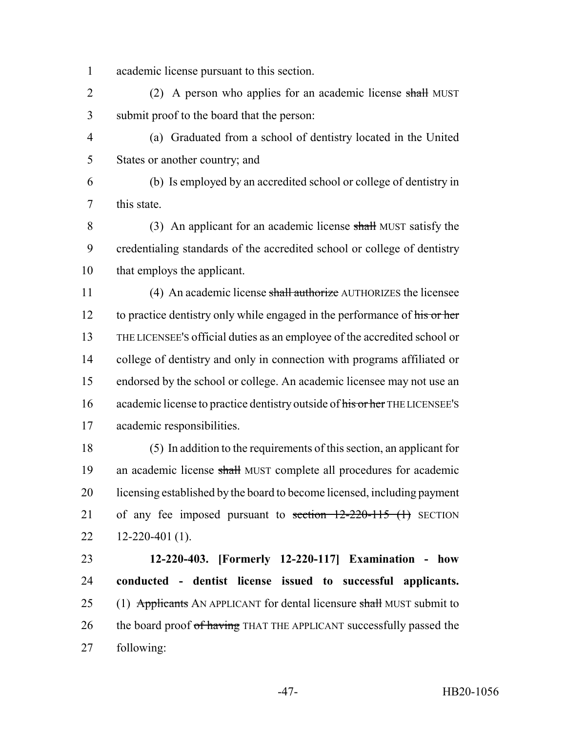academic license pursuant to this section.

2 (2) A person who applies for an academic license shall MUST submit proof to the board that the person:

 (a) Graduated from a school of dentistry located in the United States or another country; and

 (b) Is employed by an accredited school or college of dentistry in this state.

8 (3) An applicant for an academic license shall MUST satisfy the credentialing standards of the accredited school or college of dentistry that employs the applicant.

 (4) An academic license shall authorize AUTHORIZES the licensee 12 to practice dentistry only while engaged in the performance of his or her THE LICENSEE'S official duties as an employee of the accredited school or college of dentistry and only in connection with programs affiliated or endorsed by the school or college. An academic licensee may not use an 16 academic license to practice dentistry outside of his or her THE LICENSEE's academic responsibilities.

 (5) In addition to the requirements of this section, an applicant for 19 an academic license shall MUST complete all procedures for academic licensing established by the board to become licensed, including payment 21 of any fee imposed pursuant to section 12-220-115 (1) SECTION  $22 \quad 12 - 220 - 401 \quad (1)$ .

 **12-220-403. [Formerly 12-220-117] Examination - how conducted - dentist license issued to successful applicants.** 25 (1) Applicants AN APPLICANT for dental licensure shall MUST submit to 26 the board proof of having THAT THE APPLICANT successfully passed the following: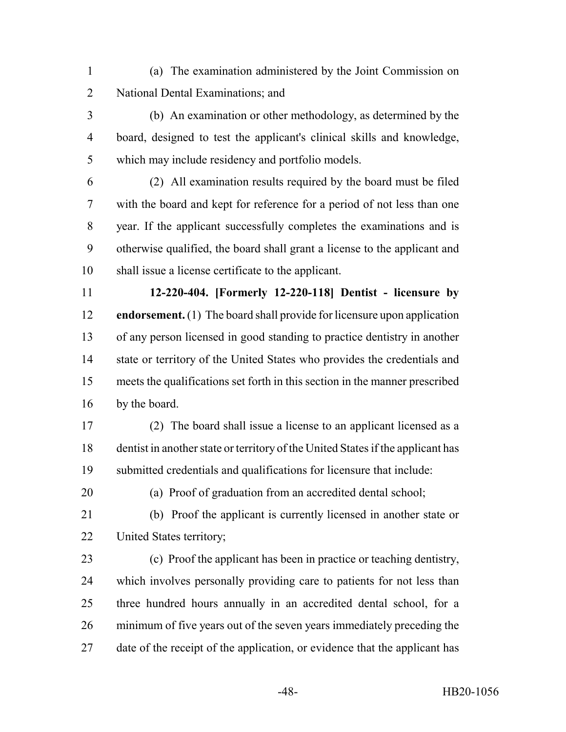- (a) The examination administered by the Joint Commission on National Dental Examinations; and
- (b) An examination or other methodology, as determined by the board, designed to test the applicant's clinical skills and knowledge, which may include residency and portfolio models.
- (2) All examination results required by the board must be filed with the board and kept for reference for a period of not less than one year. If the applicant successfully completes the examinations and is otherwise qualified, the board shall grant a license to the applicant and shall issue a license certificate to the applicant.
- **12-220-404. [Formerly 12-220-118] Dentist licensure by endorsement.** (1) The board shall provide for licensure upon application of any person licensed in good standing to practice dentistry in another state or territory of the United States who provides the credentials and meets the qualifications set forth in this section in the manner prescribed by the board.
- (2) The board shall issue a license to an applicant licensed as a dentist in another state or territory of the United States if the applicant has submitted credentials and qualifications for licensure that include:
- 

(a) Proof of graduation from an accredited dental school;

- (b) Proof the applicant is currently licensed in another state or United States territory;
- (c) Proof the applicant has been in practice or teaching dentistry, which involves personally providing care to patients for not less than three hundred hours annually in an accredited dental school, for a minimum of five years out of the seven years immediately preceding the date of the receipt of the application, or evidence that the applicant has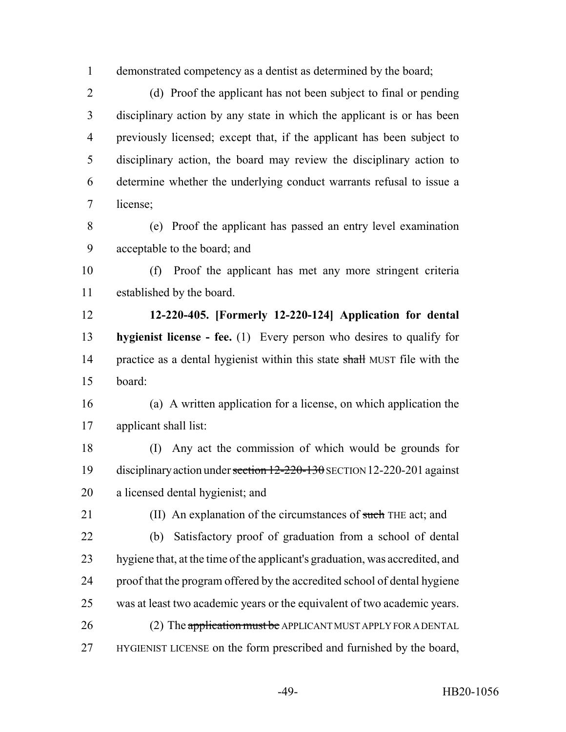demonstrated competency as a dentist as determined by the board;

 (d) Proof the applicant has not been subject to final or pending disciplinary action by any state in which the applicant is or has been previously licensed; except that, if the applicant has been subject to disciplinary action, the board may review the disciplinary action to determine whether the underlying conduct warrants refusal to issue a license;

 (e) Proof the applicant has passed an entry level examination acceptable to the board; and

 (f) Proof the applicant has met any more stringent criteria established by the board.

 **12-220-405. [Formerly 12-220-124] Application for dental hygienist license - fee.** (1) Every person who desires to qualify for 14 practice as a dental hygienist within this state shall MUST file with the board:

 (a) A written application for a license, on which application the applicant shall list:

 (I) Any act the commission of which would be grounds for disciplinary action under section 12-220-130 SECTION 12-220-201 against a licensed dental hygienist; and

21 (II) An explanation of the circumstances of such THE act; and (b) Satisfactory proof of graduation from a school of dental hygiene that, at the time of the applicant's graduation, was accredited, and proof that the program offered by the accredited school of dental hygiene was at least two academic years or the equivalent of two academic years. 26 (2) The application must be APPLICANT MUST APPLY FOR A DENTAL

HYGIENIST LICENSE on the form prescribed and furnished by the board,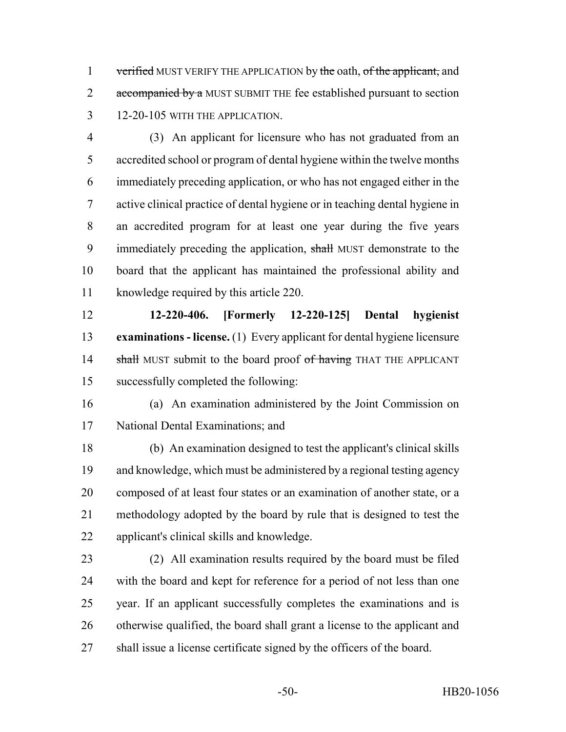1 verified MUST VERIFY THE APPLICATION by the oath, of the applicant, and 2 accompanied by a MUST SUBMIT THE fee established pursuant to section 12-20-105 WITH THE APPLICATION.

 (3) An applicant for licensure who has not graduated from an accredited school or program of dental hygiene within the twelve months immediately preceding application, or who has not engaged either in the active clinical practice of dental hygiene or in teaching dental hygiene in an accredited program for at least one year during the five years 9 immediately preceding the application, shall MUST demonstrate to the board that the applicant has maintained the professional ability and knowledge required by this article 220.

 **12-220-406. [Formerly 12-220-125] Dental hygienist examinations - license.** (1) Every applicant for dental hygiene licensure 14 shall MUST submit to the board proof of having THAT THE APPLICANT successfully completed the following:

 (a) An examination administered by the Joint Commission on National Dental Examinations; and

 (b) An examination designed to test the applicant's clinical skills and knowledge, which must be administered by a regional testing agency composed of at least four states or an examination of another state, or a methodology adopted by the board by rule that is designed to test the applicant's clinical skills and knowledge.

 (2) All examination results required by the board must be filed with the board and kept for reference for a period of not less than one year. If an applicant successfully completes the examinations and is otherwise qualified, the board shall grant a license to the applicant and shall issue a license certificate signed by the officers of the board.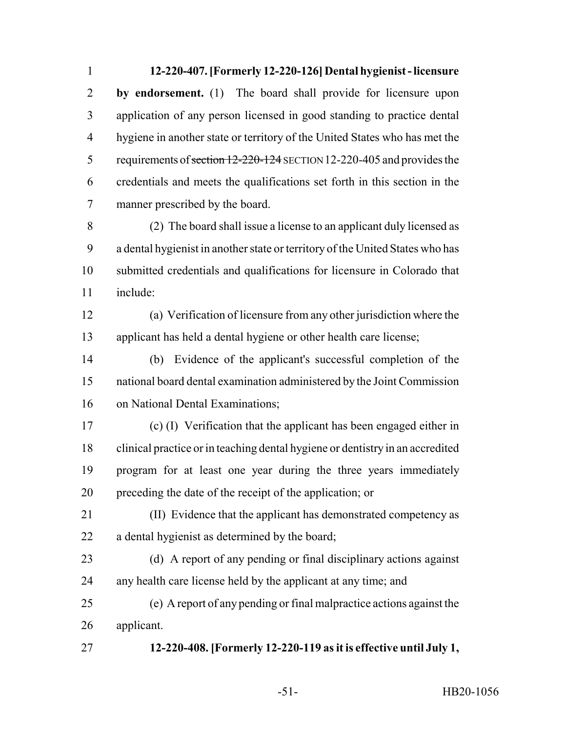**12-220-407. [Formerly 12-220-126] Dental hygienist - licensure by endorsement.** (1) The board shall provide for licensure upon application of any person licensed in good standing to practice dental hygiene in another state or territory of the United States who has met the 5 requirements of section 12-220-124 SECTION 12-220-405 and provides the credentials and meets the qualifications set forth in this section in the manner prescribed by the board.

 (2) The board shall issue a license to an applicant duly licensed as a dental hygienist in another state or territory of the United States who has submitted credentials and qualifications for licensure in Colorado that include:

 (a) Verification of licensure from any other jurisdiction where the applicant has held a dental hygiene or other health care license;

 (b) Evidence of the applicant's successful completion of the national board dental examination administered by the Joint Commission on National Dental Examinations;

 (c) (I) Verification that the applicant has been engaged either in clinical practice or in teaching dental hygiene or dentistry in an accredited program for at least one year during the three years immediately preceding the date of the receipt of the application; or

 (II) Evidence that the applicant has demonstrated competency as a dental hygienist as determined by the board;

 (d) A report of any pending or final disciplinary actions against any health care license held by the applicant at any time; and

 (e) A report of any pending or final malpractice actions against the applicant.

**12-220-408. [Formerly 12-220-119 as it is effective until July 1,**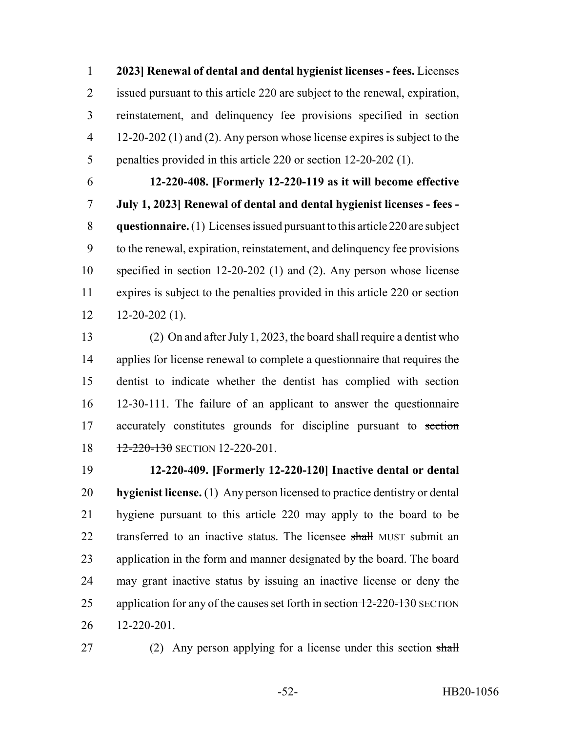**2023] Renewal of dental and dental hygienist licenses - fees.** Licenses issued pursuant to this article 220 are subject to the renewal, expiration, reinstatement, and delinquency fee provisions specified in section 12-20-202 (1) and (2). Any person whose license expires is subject to the penalties provided in this article 220 or section 12-20-202 (1).

 **12-220-408. [Formerly 12-220-119 as it will become effective July 1, 2023] Renewal of dental and dental hygienist licenses - fees - questionnaire.** (1) Licenses issued pursuant to this article 220 are subject to the renewal, expiration, reinstatement, and delinquency fee provisions specified in section 12-20-202 (1) and (2). Any person whose license expires is subject to the penalties provided in this article 220 or section  $12 - 12 - 20 - 202$  (1).

 (2) On and after July 1, 2023, the board shall require a dentist who applies for license renewal to complete a questionnaire that requires the dentist to indicate whether the dentist has complied with section 12-30-111. The failure of an applicant to answer the questionnaire 17 accurately constitutes grounds for discipline pursuant to section 18 12-220-130 SECTION 12-220-201.

 **12-220-409. [Formerly 12-220-120] Inactive dental or dental hygienist license.** (1) Any person licensed to practice dentistry or dental hygiene pursuant to this article 220 may apply to the board to be 22 transferred to an inactive status. The licensee shall MUST submit an application in the form and manner designated by the board. The board may grant inactive status by issuing an inactive license or deny the 25 application for any of the causes set forth in section 12-220-130 SECTION 12-220-201.

27 (2) Any person applying for a license under this section shall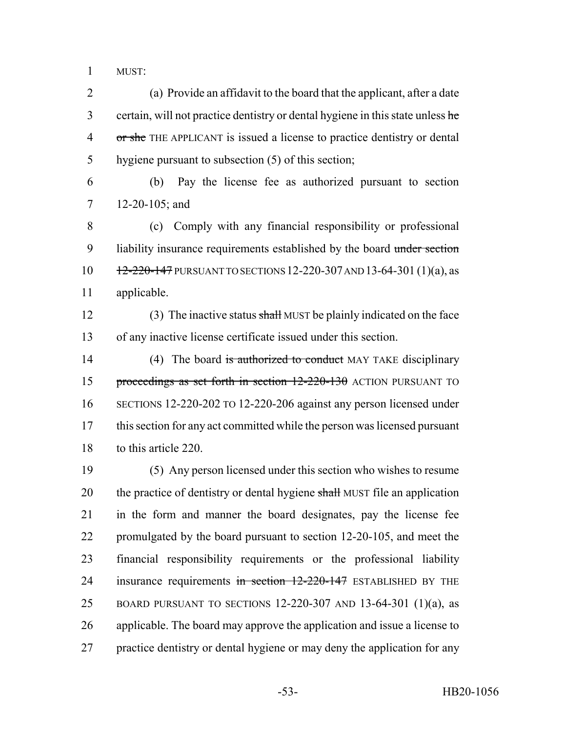MUST:

 (a) Provide an affidavit to the board that the applicant, after a date 3 certain, will not practice dentistry or dental hygiene in this state unless he 4 or she THE APPLICANT is issued a license to practice dentistry or dental hygiene pursuant to subsection (5) of this section;

 (b) Pay the license fee as authorized pursuant to section 12-20-105; and

 (c) Comply with any financial responsibility or professional 9 liability insurance requirements established by the board under section 12-220-147 PURSUANT TO SECTIONS 12-220-307 AND 13-64-301 (1)(a), as applicable.

12 (3) The inactive status shall MUST be plainly indicated on the face of any inactive license certificate issued under this section.

14 (4) The board is authorized to conduct MAY TAKE disciplinary 15 proceedings as set forth in section 12-220-130 ACTION PURSUANT TO SECTIONS 12-220-202 TO 12-220-206 against any person licensed under this section for any act committed while the person was licensed pursuant to this article 220.

 (5) Any person licensed under this section who wishes to resume 20 the practice of dentistry or dental hygiene shall MUST file an application in the form and manner the board designates, pay the license fee promulgated by the board pursuant to section 12-20-105, and meet the financial responsibility requirements or the professional liability 24 insurance requirements in section 12-220-147 ESTABLISHED BY THE BOARD PURSUANT TO SECTIONS 12-220-307 AND 13-64-301 (1)(a), as applicable. The board may approve the application and issue a license to practice dentistry or dental hygiene or may deny the application for any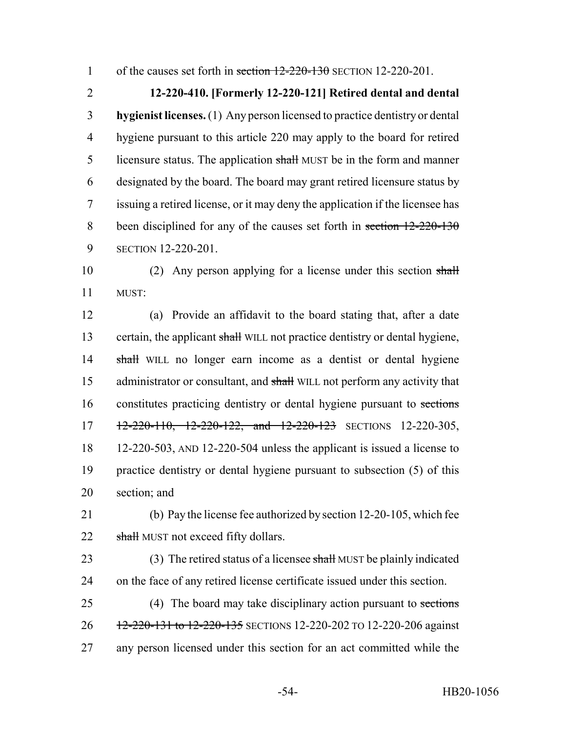1 of the causes set forth in section  $12-220-130$  SECTION 12-220-201.

 **12-220-410. [Formerly 12-220-121] Retired dental and dental hygienist licenses.** (1) Any person licensed to practice dentistry or dental hygiene pursuant to this article 220 may apply to the board for retired 5 licensure status. The application shall MUST be in the form and manner designated by the board. The board may grant retired licensure status by issuing a retired license, or it may deny the application if the licensee has 8 been disciplined for any of the causes set forth in section 12-220-130 SECTION 12-220-201.

10 (2) Any person applying for a license under this section shall 11 MUST:

12 (a) Provide an affidavit to the board stating that, after a date 13 certain, the applicant shall WILL not practice dentistry or dental hygiene, 14 shall WILL no longer earn income as a dentist or dental hygiene 15 administrator or consultant, and shall WILL not perform any activity that 16 constitutes practicing dentistry or dental hygiene pursuant to sections 17 12-220-110, 12-220-122, and 12-220-123 SECTIONS 12-220-305, 18 12-220-503, AND 12-220-504 unless the applicant is issued a license to 19 practice dentistry or dental hygiene pursuant to subsection (5) of this 20 section; and

21 (b) Pay the license fee authorized by section 12-20-105, which fee 22 shall MUST not exceed fifty dollars.

23 (3) The retired status of a licensee shall MUST be plainly indicated 24 on the face of any retired license certificate issued under this section.

25 (4) The board may take disciplinary action pursuant to sections 26 12-220-131 to 12-220-135 SECTIONS 12-220-202 TO 12-220-206 against 27 any person licensed under this section for an act committed while the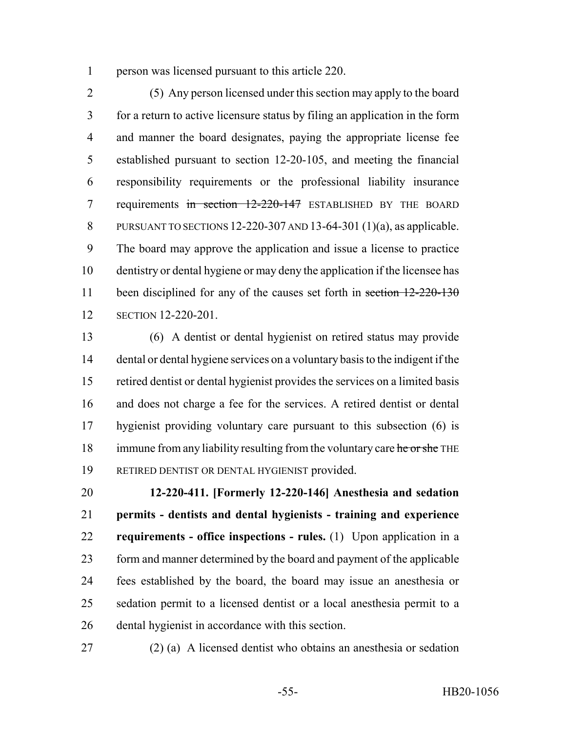person was licensed pursuant to this article 220.

 (5) Any person licensed under this section may apply to the board for a return to active licensure status by filing an application in the form and manner the board designates, paying the appropriate license fee established pursuant to section 12-20-105, and meeting the financial responsibility requirements or the professional liability insurance 7 requirements in section 12-220-147 ESTABLISHED BY THE BOARD PURSUANT TO SECTIONS 12-220-307 AND 13-64-301 (1)(a), as applicable. The board may approve the application and issue a license to practice dentistry or dental hygiene or may deny the application if the licensee has 11 been disciplined for any of the causes set forth in section 12-220-130 SECTION 12-220-201.

 (6) A dentist or dental hygienist on retired status may provide dental or dental hygiene services on a voluntary basis to the indigent if the retired dentist or dental hygienist provides the services on a limited basis and does not charge a fee for the services. A retired dentist or dental hygienist providing voluntary care pursuant to this subsection (6) is 18 immune from any liability resulting from the voluntary care he or she THE RETIRED DENTIST OR DENTAL HYGIENIST provided.

 **12-220-411. [Formerly 12-220-146] Anesthesia and sedation permits - dentists and dental hygienists - training and experience requirements - office inspections - rules.** (1) Upon application in a form and manner determined by the board and payment of the applicable fees established by the board, the board may issue an anesthesia or sedation permit to a licensed dentist or a local anesthesia permit to a dental hygienist in accordance with this section.

(2) (a) A licensed dentist who obtains an anesthesia or sedation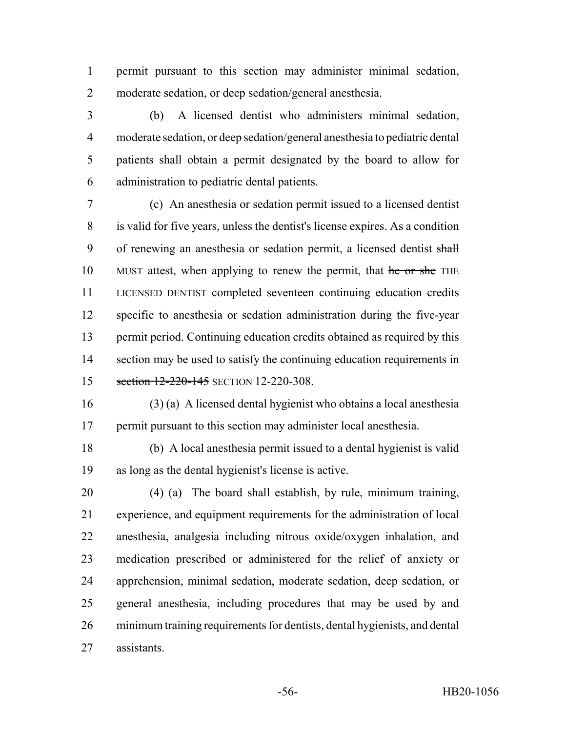permit pursuant to this section may administer minimal sedation, moderate sedation, or deep sedation/general anesthesia.

 (b) A licensed dentist who administers minimal sedation, moderate sedation, or deep sedation/general anesthesia to pediatric dental patients shall obtain a permit designated by the board to allow for administration to pediatric dental patients.

 (c) An anesthesia or sedation permit issued to a licensed dentist is valid for five years, unless the dentist's license expires. As a condition 9 of renewing an anesthesia or sedation permit, a licensed dentist shall 10 MUST attest, when applying to renew the permit, that he or she THE LICENSED DENTIST completed seventeen continuing education credits specific to anesthesia or sedation administration during the five-year permit period. Continuing education credits obtained as required by this 14 section may be used to satisfy the continuing education requirements in 15 section 12-220-145 SECTION 12-220-308.

 (3) (a) A licensed dental hygienist who obtains a local anesthesia permit pursuant to this section may administer local anesthesia.

 (b) A local anesthesia permit issued to a dental hygienist is valid as long as the dental hygienist's license is active.

 (4) (a) The board shall establish, by rule, minimum training, experience, and equipment requirements for the administration of local anesthesia, analgesia including nitrous oxide/oxygen inhalation, and medication prescribed or administered for the relief of anxiety or apprehension, minimal sedation, moderate sedation, deep sedation, or general anesthesia, including procedures that may be used by and minimum training requirements for dentists, dental hygienists, and dental assistants.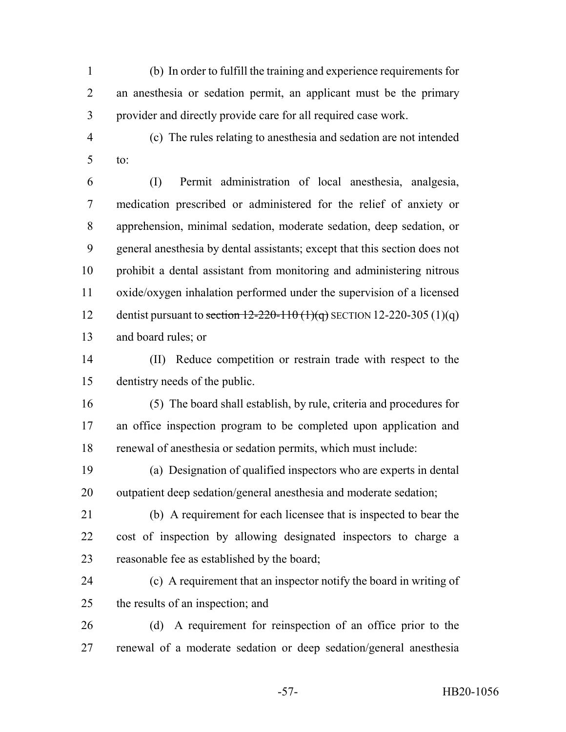(b) In order to fulfill the training and experience requirements for an anesthesia or sedation permit, an applicant must be the primary provider and directly provide care for all required case work.

 (c) The rules relating to anesthesia and sedation are not intended to:

 (I) Permit administration of local anesthesia, analgesia, medication prescribed or administered for the relief of anxiety or apprehension, minimal sedation, moderate sedation, deep sedation, or general anesthesia by dental assistants; except that this section does not prohibit a dental assistant from monitoring and administering nitrous oxide/oxygen inhalation performed under the supervision of a licensed 12 dentist pursuant to section  $12-220-110$  (1)(q) SECTION 12-220-305 (1)(q) and board rules; or

 (II) Reduce competition or restrain trade with respect to the dentistry needs of the public.

 (5) The board shall establish, by rule, criteria and procedures for an office inspection program to be completed upon application and renewal of anesthesia or sedation permits, which must include:

 (a) Designation of qualified inspectors who are experts in dental outpatient deep sedation/general anesthesia and moderate sedation;

- (b) A requirement for each licensee that is inspected to bear the cost of inspection by allowing designated inspectors to charge a reasonable fee as established by the board;
- (c) A requirement that an inspector notify the board in writing of the results of an inspection; and
- (d) A requirement for reinspection of an office prior to the renewal of a moderate sedation or deep sedation/general anesthesia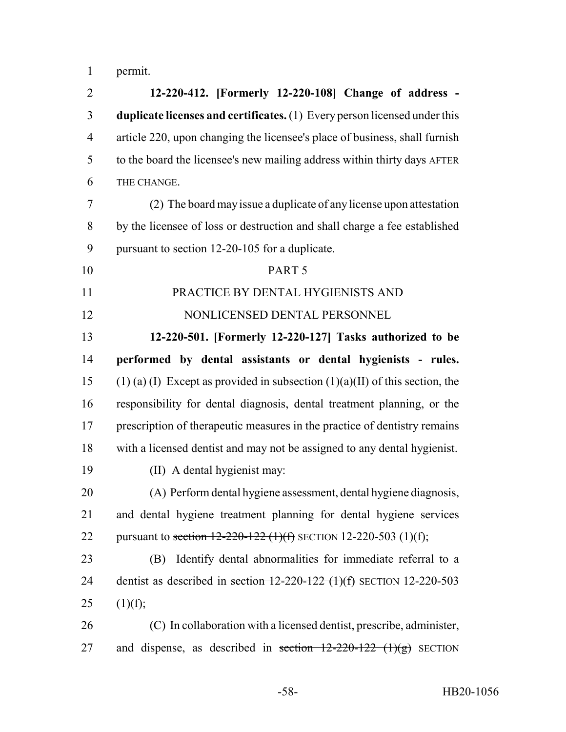permit.

 **12-220-412. [Formerly 12-220-108] Change of address - duplicate licenses and certificates.** (1) Every person licensed under this article 220, upon changing the licensee's place of business, shall furnish to the board the licensee's new mailing address within thirty days AFTER THE CHANGE. (2) The board may issue a duplicate of any license upon attestation by the licensee of loss or destruction and shall charge a fee established pursuant to section 12-20-105 for a duplicate. PART 5 PRACTICE BY DENTAL HYGIENISTS AND NONLICENSED DENTAL PERSONNEL **12-220-501. [Formerly 12-220-127] Tasks authorized to be performed by dental assistants or dental hygienists - rules.** 15 (1) (a) (I) Except as provided in subsection (1)(a)(II) of this section, the responsibility for dental diagnosis, dental treatment planning, or the prescription of therapeutic measures in the practice of dentistry remains with a licensed dentist and may not be assigned to any dental hygienist. (II) A dental hygienist may: (A) Perform dental hygiene assessment, dental hygiene diagnosis, and dental hygiene treatment planning for dental hygiene services 22 pursuant to section  $12-220-122$  (1)(f) SECTION 12-220-503 (1)(f); (B) Identify dental abnormalities for immediate referral to a 24 dentist as described in section  $12-220-122$  (1)(f) SECTION 12-220-503 25  $(1)(f)$ ; (C) In collaboration with a licensed dentist, prescribe, administer, 27 and dispense, as described in section  $12-220-122$  (1)(g) SECTION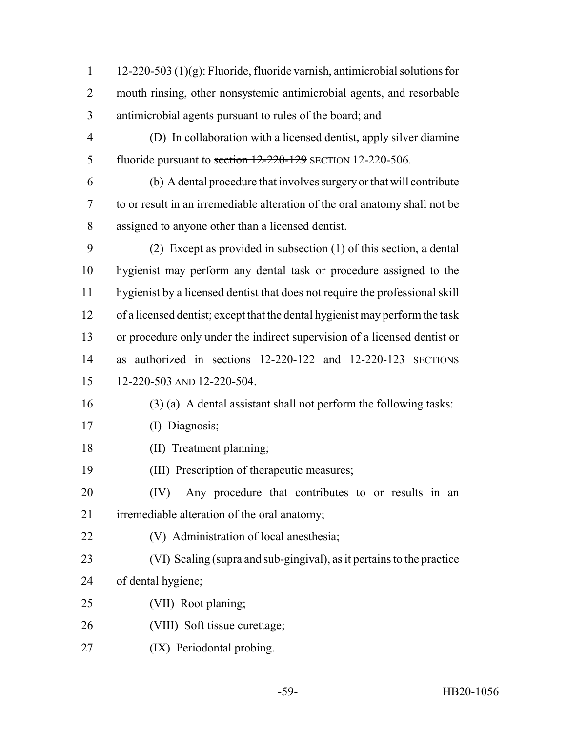12-220-503 (1)(g): Fluoride, fluoride varnish, antimicrobial solutions for mouth rinsing, other nonsystemic antimicrobial agents, and resorbable antimicrobial agents pursuant to rules of the board; and

- (D) In collaboration with a licensed dentist, apply silver diamine 5 fluoride pursuant to section 12-220-129 SECTION 12-220-506.
- (b) A dental procedure that involves surgery or that will contribute to or result in an irremediable alteration of the oral anatomy shall not be assigned to anyone other than a licensed dentist.
- (2) Except as provided in subsection (1) of this section, a dental hygienist may perform any dental task or procedure assigned to the hygienist by a licensed dentist that does not require the professional skill of a licensed dentist; except that the dental hygienist may perform the task or procedure only under the indirect supervision of a licensed dentist or 14 as authorized in sections 12-220-122 and 12-220-123 SECTIONS 12-220-503 AND 12-220-504.
- 
- (3) (a) A dental assistant shall not perform the following tasks:
- (I) Diagnosis;
- (II) Treatment planning;
- (III) Prescription of therapeutic measures;
- (IV) Any procedure that contributes to or results in an irremediable alteration of the oral anatomy;
- (V) Administration of local anesthesia;
- (VI) Scaling (supra and sub-gingival), as it pertains to the practice
- of dental hygiene;
- (VII) Root planing;
- (VIII) Soft tissue curettage;
- (IX) Periodontal probing.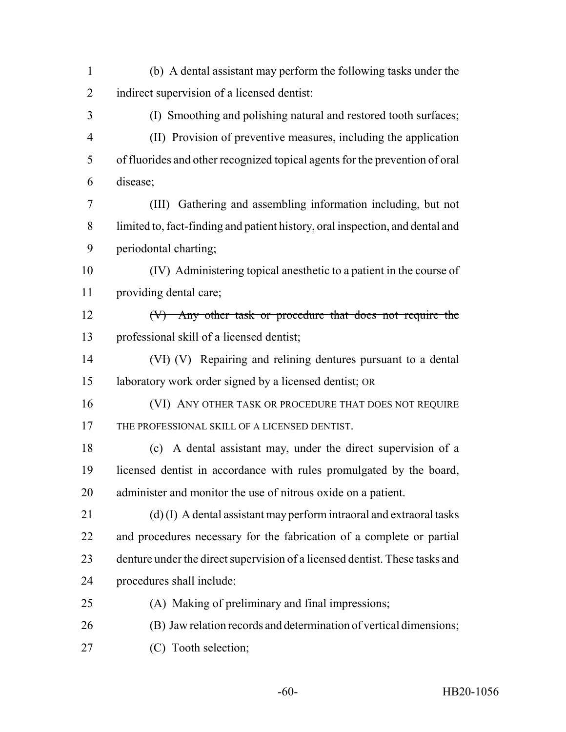(b) A dental assistant may perform the following tasks under the indirect supervision of a licensed dentist: (I) Smoothing and polishing natural and restored tooth surfaces; (II) Provision of preventive measures, including the application of fluorides and other recognized topical agents for the prevention of oral disease; (III) Gathering and assembling information including, but not

 limited to, fact-finding and patient history, oral inspection, and dental and periodontal charting;

 (IV) Administering topical anesthetic to a patient in the course of providing dental care;

 (V) Any other task or procedure that does not require the 13 professional skill of a licensed dentist;

14 (V<sub>I</sub>) (V) Repairing and relining dentures pursuant to a dental laboratory work order signed by a licensed dentist; OR

16 (VI) ANY OTHER TASK OR PROCEDURE THAT DOES NOT REQUIRE THE PROFESSIONAL SKILL OF A LICENSED DENTIST.

 (c) A dental assistant may, under the direct supervision of a licensed dentist in accordance with rules promulgated by the board, administer and monitor the use of nitrous oxide on a patient.

 (d) (I) A dental assistant may perform intraoral and extraoral tasks and procedures necessary for the fabrication of a complete or partial denture under the direct supervision of a licensed dentist. These tasks and procedures shall include:

- (A) Making of preliminary and final impressions;
- (B) Jaw relation records and determination of vertical dimensions;
- (C) Tooth selection;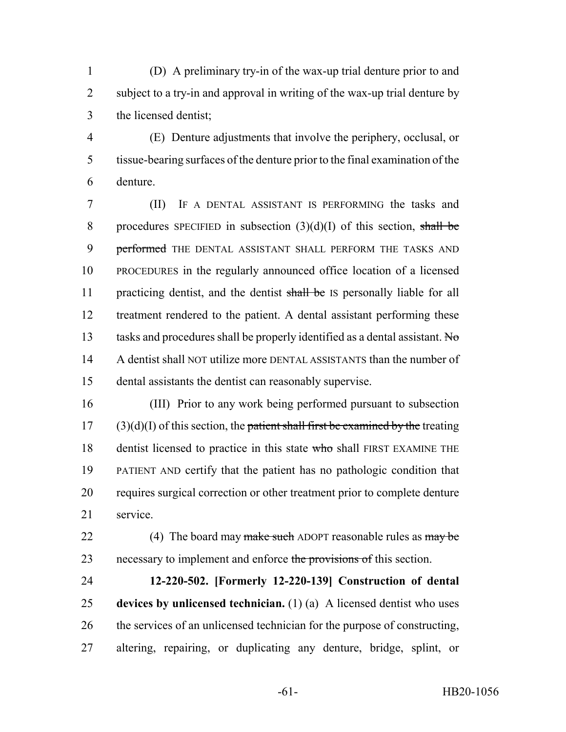(D) A preliminary try-in of the wax-up trial denture prior to and subject to a try-in and approval in writing of the wax-up trial denture by the licensed dentist;

 (E) Denture adjustments that involve the periphery, occlusal, or tissue-bearing surfaces of the denture prior to the final examination of the denture.

 (II) IF A DENTAL ASSISTANT IS PERFORMING the tasks and 8 procedures SPECIFIED in subsection  $(3)(d)(I)$  of this section, shall be **performed** THE DENTAL ASSISTANT SHALL PERFORM THE TASKS AND PROCEDURES in the regularly announced office location of a licensed 11 practicing dentist, and the dentist shall be IS personally liable for all treatment rendered to the patient. A dental assistant performing these 13 tasks and procedures shall be properly identified as a dental assistant. No A dentist shall NOT utilize more DENTAL ASSISTANTS than the number of dental assistants the dentist can reasonably supervise.

 (III) Prior to any work being performed pursuant to subsection (3)(d)(I) of this section, the patient shall first be examined by the treating 18 dentist licensed to practice in this state who shall FIRST EXAMINE THE PATIENT AND certify that the patient has no pathologic condition that requires surgical correction or other treatment prior to complete denture service.

22 (4) The board may make such ADOPT reasonable rules as may be 23 necessary to implement and enforce the provisions of this section.

 **12-220-502. [Formerly 12-220-139] Construction of dental devices by unlicensed technician.** (1) (a) A licensed dentist who uses the services of an unlicensed technician for the purpose of constructing, altering, repairing, or duplicating any denture, bridge, splint, or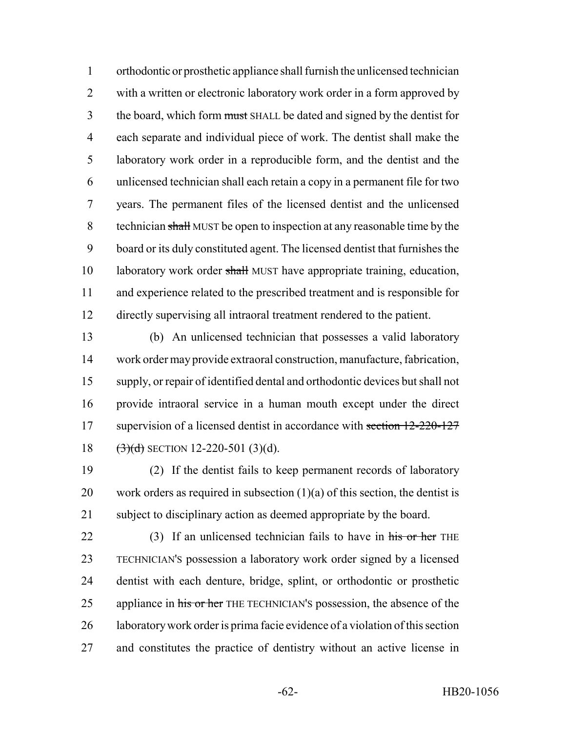orthodontic or prosthetic appliance shall furnish the unlicensed technician 2 with a written or electronic laboratory work order in a form approved by 3 the board, which form must SHALL be dated and signed by the dentist for each separate and individual piece of work. The dentist shall make the laboratory work order in a reproducible form, and the dentist and the unlicensed technician shall each retain a copy in a permanent file for two years. The permanent files of the licensed dentist and the unlicensed technician shall MUST be open to inspection at any reasonable time by the board or its duly constituted agent. The licensed dentist that furnishes the 10 laboratory work order shall MUST have appropriate training, education, and experience related to the prescribed treatment and is responsible for directly supervising all intraoral treatment rendered to the patient.

 (b) An unlicensed technician that possesses a valid laboratory work order may provide extraoral construction, manufacture, fabrication, supply, or repair of identified dental and orthodontic devices but shall not provide intraoral service in a human mouth except under the direct 17 supervision of a licensed dentist in accordance with section 12-220-127  $(3)(d)$  SECTION 12-220-501 (3)(d).

 (2) If the dentist fails to keep permanent records of laboratory 20 work orders as required in subsection  $(1)(a)$  of this section, the dentist is subject to disciplinary action as deemed appropriate by the board.

22 (3) If an unlicensed technician fails to have in his or her THE TECHNICIAN'S possession a laboratory work order signed by a licensed dentist with each denture, bridge, splint, or orthodontic or prosthetic 25 appliance in his or her THE TECHNICIAN's possession, the absence of the laboratory work order is prima facie evidence of a violation of this section and constitutes the practice of dentistry without an active license in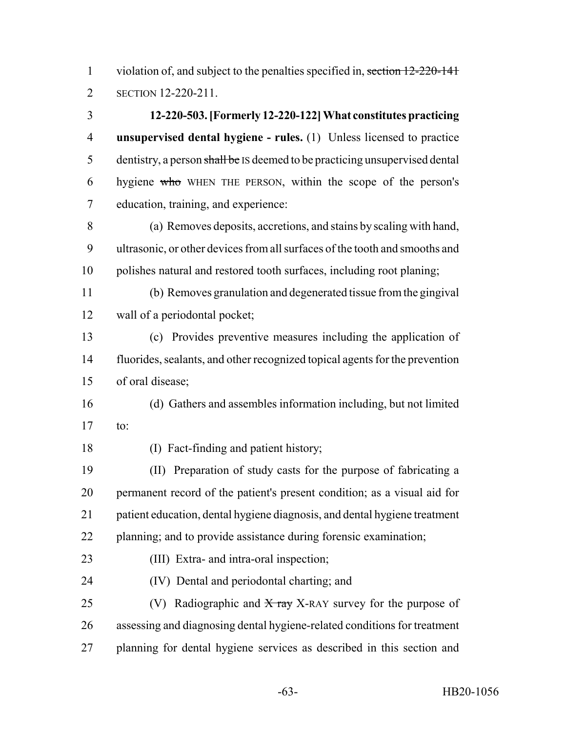1 violation of, and subject to the penalties specified in, section 12-220-141 SECTION 12-220-211.

 **12-220-503. [Formerly 12-220-122] What constitutes practicing unsupervised dental hygiene - rules.** (1) Unless licensed to practice 5 dentistry, a person shall be IS deemed to be practicing unsupervised dental hygiene who WHEN THE PERSON, within the scope of the person's education, training, and experience:

 (a) Removes deposits, accretions, and stains by scaling with hand, ultrasonic, or other devices from all surfaces of the tooth and smooths and polishes natural and restored tooth surfaces, including root planing;

 (b) Removes granulation and degenerated tissue from the gingival wall of a periodontal pocket;

 (c) Provides preventive measures including the application of fluorides, sealants, and other recognized topical agents for the prevention of oral disease;

 (d) Gathers and assembles information including, but not limited to:

(I) Fact-finding and patient history;

 (II) Preparation of study casts for the purpose of fabricating a permanent record of the patient's present condition; as a visual aid for patient education, dental hygiene diagnosis, and dental hygiene treatment planning; and to provide assistance during forensic examination;

(III) Extra- and intra-oral inspection;

(IV) Dental and periodontal charting; and

25 (V) Radiographic and  $\overline{X}$  ray X-RAY survey for the purpose of assessing and diagnosing dental hygiene-related conditions for treatment planning for dental hygiene services as described in this section and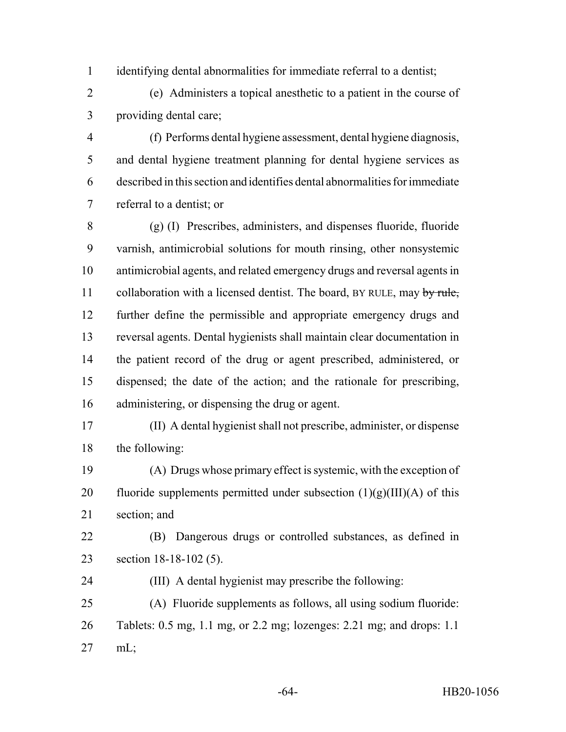identifying dental abnormalities for immediate referral to a dentist;

 (e) Administers a topical anesthetic to a patient in the course of providing dental care;

 (f) Performs dental hygiene assessment, dental hygiene diagnosis, and dental hygiene treatment planning for dental hygiene services as described in this section and identifies dental abnormalities for immediate referral to a dentist; or

 (g) (I) Prescribes, administers, and dispenses fluoride, fluoride varnish, antimicrobial solutions for mouth rinsing, other nonsystemic antimicrobial agents, and related emergency drugs and reversal agents in 11 collaboration with a licensed dentist. The board, BY RULE, may by rule, further define the permissible and appropriate emergency drugs and reversal agents. Dental hygienists shall maintain clear documentation in the patient record of the drug or agent prescribed, administered, or dispensed; the date of the action; and the rationale for prescribing, administering, or dispensing the drug or agent.

 (II) A dental hygienist shall not prescribe, administer, or dispense the following:

 (A) Drugs whose primary effect is systemic, with the exception of 20 fluoride supplements permitted under subsection  $(1)(g)(III)(A)$  of this section; and

- (B) Dangerous drugs or controlled substances, as defined in section 18-18-102 (5).
- (III) A dental hygienist may prescribe the following:

 (A) Fluoride supplements as follows, all using sodium fluoride: Tablets: 0.5 mg, 1.1 mg, or 2.2 mg; lozenges: 2.21 mg; and drops: 1.1 mL;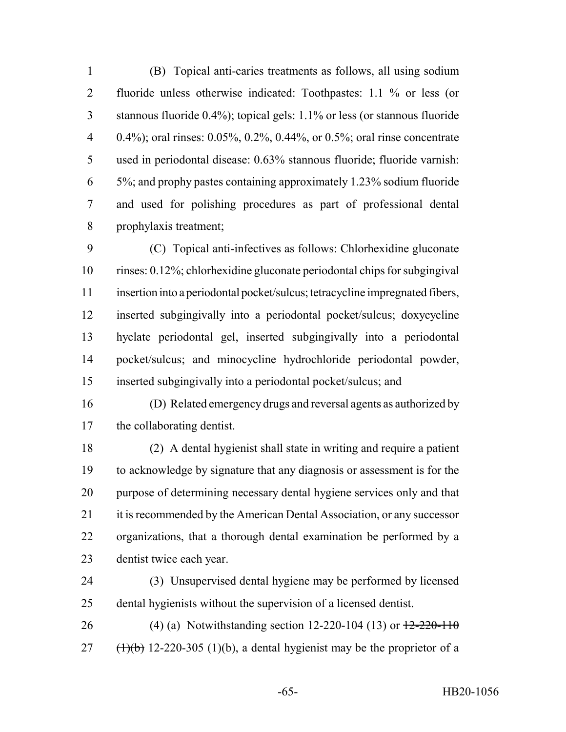(B) Topical anti-caries treatments as follows, all using sodium fluoride unless otherwise indicated: Toothpastes: 1.1 % or less (or stannous fluoride 0.4%); topical gels: 1.1% or less (or stannous fluoride 0.4%); oral rinses: 0.05%, 0.2%, 0.44%, or 0.5%; oral rinse concentrate used in periodontal disease: 0.63% stannous fluoride; fluoride varnish: 5%; and prophy pastes containing approximately 1.23% sodium fluoride and used for polishing procedures as part of professional dental prophylaxis treatment;

 (C) Topical anti-infectives as follows: Chlorhexidine gluconate rinses: 0.12%; chlorhexidine gluconate periodontal chips for subgingival insertion into a periodontal pocket/sulcus; tetracycline impregnated fibers, inserted subgingivally into a periodontal pocket/sulcus; doxycycline hyclate periodontal gel, inserted subgingivally into a periodontal pocket/sulcus; and minocycline hydrochloride periodontal powder, inserted subgingivally into a periodontal pocket/sulcus; and

 (D) Related emergency drugs and reversal agents as authorized by the collaborating dentist.

 (2) A dental hygienist shall state in writing and require a patient to acknowledge by signature that any diagnosis or assessment is for the purpose of determining necessary dental hygiene services only and that 21 it is recommended by the American Dental Association, or any successor organizations, that a thorough dental examination be performed by a dentist twice each year.

 (3) Unsupervised dental hygiene may be performed by licensed dental hygienists without the supervision of a licensed dentist.

26 (4) (a) Notwithstanding section 12-220-104 (13) or  $\frac{12-220-110}{2}$ 27  $(\frac{1}{\theta})$  12-220-305 (1)(b), a dental hygienist may be the proprietor of a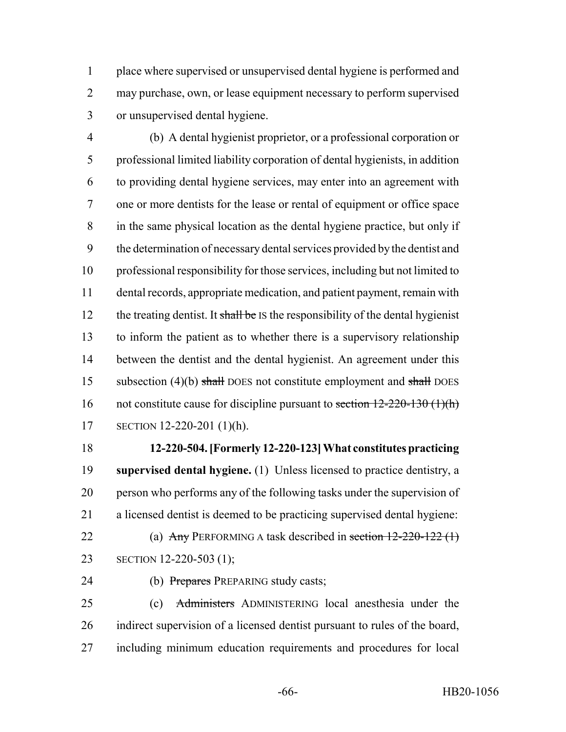place where supervised or unsupervised dental hygiene is performed and may purchase, own, or lease equipment necessary to perform supervised or unsupervised dental hygiene.

 (b) A dental hygienist proprietor, or a professional corporation or professional limited liability corporation of dental hygienists, in addition to providing dental hygiene services, may enter into an agreement with one or more dentists for the lease or rental of equipment or office space in the same physical location as the dental hygiene practice, but only if the determination of necessary dental services provided by the dentist and professional responsibility for those services, including but not limited to dental records, appropriate medication, and patient payment, remain with 12 the treating dentist. It shall be IS the responsibility of the dental hygienist to inform the patient as to whether there is a supervisory relationship between the dentist and the dental hygienist. An agreement under this 15 subsection (4)(b) shall DOES not constitute employment and shall DOES 16 not constitute cause for discipline pursuant to section  $12-220-130$  (1)(h) SECTION 12-220-201 (1)(h).

 **12-220-504. [Formerly 12-220-123] What constitutes practicing supervised dental hygiene.** (1) Unless licensed to practice dentistry, a person who performs any of the following tasks under the supervision of a licensed dentist is deemed to be practicing supervised dental hygiene:

22 (a) Any PERFORMING A task described in section 12-220-122 (1) SECTION 12-220-503 (1);

24 (b) Prepares PREPARING study casts;

 (c) Administers ADMINISTERING local anesthesia under the indirect supervision of a licensed dentist pursuant to rules of the board, including minimum education requirements and procedures for local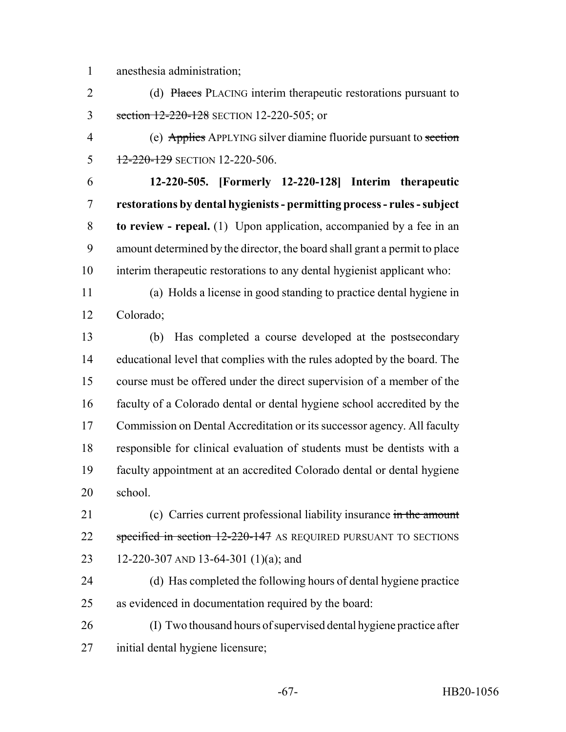anesthesia administration;

2 (d) Places PLACING interim therapeutic restorations pursuant to 3 section 12-220-128 SECTION 12-220-505; or

 (e) Applies APPLYING silver diamine fluoride pursuant to section 5 12-220-129 SECTION 12-220-506.

 **12-220-505. [Formerly 12-220-128] Interim therapeutic restorations by dental hygienists - permitting process - rules - subject to review - repeal.** (1) Upon application, accompanied by a fee in an amount determined by the director, the board shall grant a permit to place interim therapeutic restorations to any dental hygienist applicant who:

 (a) Holds a license in good standing to practice dental hygiene in Colorado;

 (b) Has completed a course developed at the postsecondary educational level that complies with the rules adopted by the board. The course must be offered under the direct supervision of a member of the faculty of a Colorado dental or dental hygiene school accredited by the Commission on Dental Accreditation or its successor agency. All faculty responsible for clinical evaluation of students must be dentists with a faculty appointment at an accredited Colorado dental or dental hygiene school.

21 (c) Carries current professional liability insurance in the amount 22 specified in section 12-220-147 AS REQUIRED PURSUANT TO SECTIONS 12-220-307 AND 13-64-301 (1)(a); and

 (d) Has completed the following hours of dental hygiene practice as evidenced in documentation required by the board:

 (I) Two thousand hours of supervised dental hygiene practice after initial dental hygiene licensure;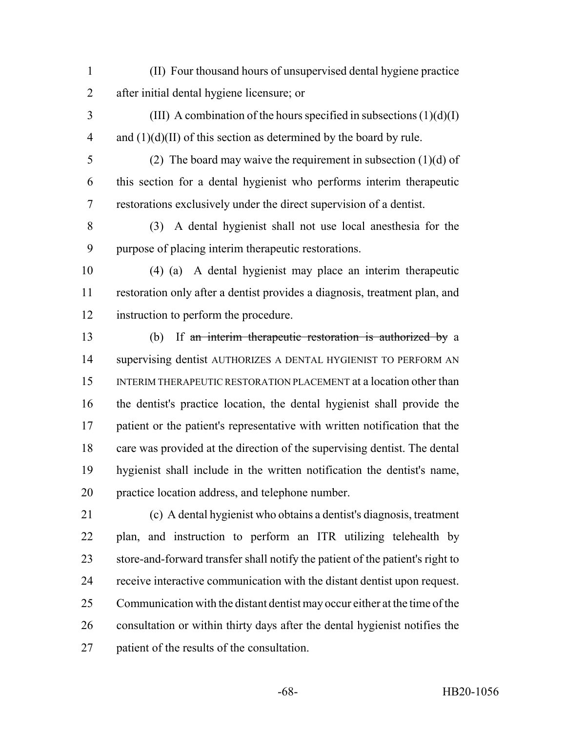- (II) Four thousand hours of unsupervised dental hygiene practice after initial dental hygiene licensure; or
- (III) A combination of the hours specified in subsections  $(1)(d)(I)$ 4 and  $(1)(d)(II)$  of this section as determined by the board by rule.
- 

 (2) The board may waive the requirement in subsection (1)(d) of this section for a dental hygienist who performs interim therapeutic restorations exclusively under the direct supervision of a dentist.

 (3) A dental hygienist shall not use local anesthesia for the purpose of placing interim therapeutic restorations.

- (4) (a) A dental hygienist may place an interim therapeutic restoration only after a dentist provides a diagnosis, treatment plan, and instruction to perform the procedure.
- (b) If an interim therapeutic restoration is authorized by a supervising dentist AUTHORIZES A DENTAL HYGIENIST TO PERFORM AN INTERIM THERAPEUTIC RESTORATION PLACEMENT at a location other than the dentist's practice location, the dental hygienist shall provide the patient or the patient's representative with written notification that the care was provided at the direction of the supervising dentist. The dental hygienist shall include in the written notification the dentist's name, practice location address, and telephone number.
- (c) A dental hygienist who obtains a dentist's diagnosis, treatment plan, and instruction to perform an ITR utilizing telehealth by store-and-forward transfer shall notify the patient of the patient's right to receive interactive communication with the distant dentist upon request. Communication with the distant dentist may occur either at the time of the consultation or within thirty days after the dental hygienist notifies the patient of the results of the consultation.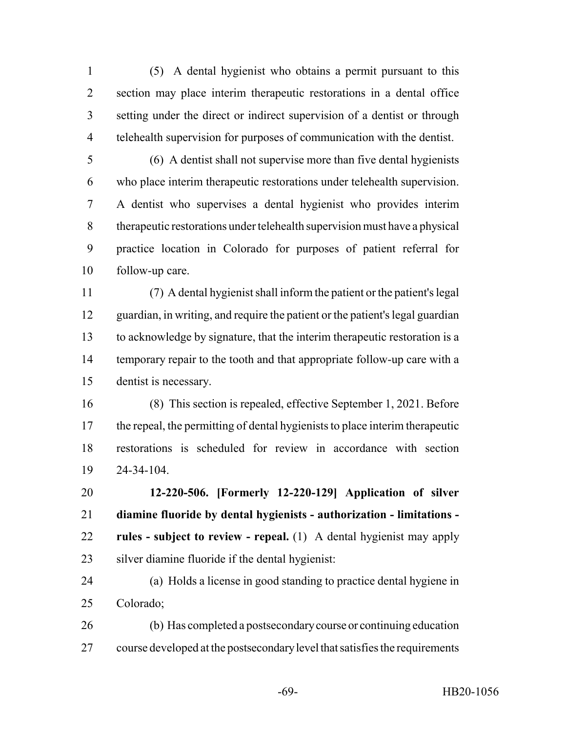(5) A dental hygienist who obtains a permit pursuant to this section may place interim therapeutic restorations in a dental office setting under the direct or indirect supervision of a dentist or through telehealth supervision for purposes of communication with the dentist.

 (6) A dentist shall not supervise more than five dental hygienists who place interim therapeutic restorations under telehealth supervision. A dentist who supervises a dental hygienist who provides interim therapeutic restorations under telehealth supervision must have a physical practice location in Colorado for purposes of patient referral for follow-up care.

 (7) A dental hygienist shall inform the patient or the patient's legal guardian, in writing, and require the patient or the patient's legal guardian to acknowledge by signature, that the interim therapeutic restoration is a 14 temporary repair to the tooth and that appropriate follow-up care with a dentist is necessary.

 (8) This section is repealed, effective September 1, 2021. Before the repeal, the permitting of dental hygienists to place interim therapeutic restorations is scheduled for review in accordance with section 24-34-104.

 **12-220-506. [Formerly 12-220-129] Application of silver diamine fluoride by dental hygienists - authorization - limitations - rules - subject to review - repeal.** (1) A dental hygienist may apply silver diamine fluoride if the dental hygienist:

 (a) Holds a license in good standing to practice dental hygiene in Colorado;

 (b) Has completed a postsecondary course or continuing education course developed at the postsecondary level that satisfies the requirements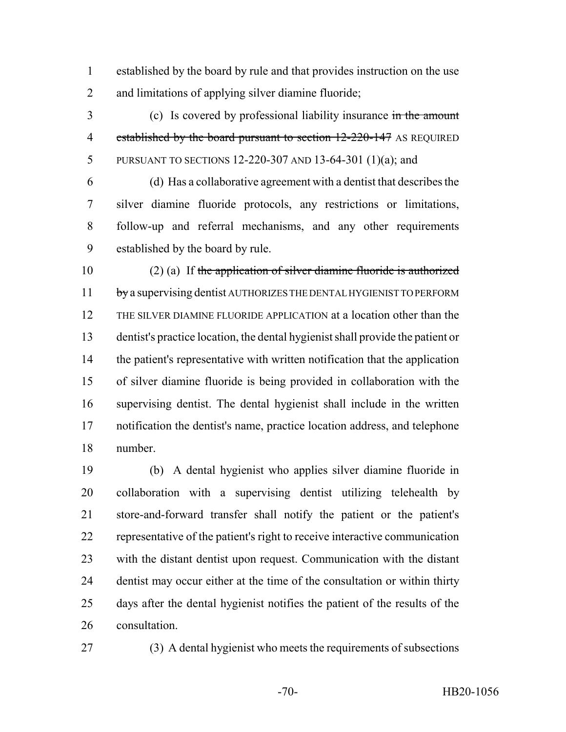established by the board by rule and that provides instruction on the use and limitations of applying silver diamine fluoride;

 (c) Is covered by professional liability insurance in the amount 4 established by the board pursuant to section 12-220-147 AS REQUIRED PURSUANT TO SECTIONS 12-220-307 AND 13-64-301 (1)(a); and

 (d) Has a collaborative agreement with a dentist that describes the silver diamine fluoride protocols, any restrictions or limitations, follow-up and referral mechanisms, and any other requirements established by the board by rule.

 (2) (a) If the application of silver diamine fluoride is authorized 11 by a supervising dentist AUTHORIZES THE DENTAL HYGIENIST TO PERFORM THE SILVER DIAMINE FLUORIDE APPLICATION at a location other than the dentist's practice location, the dental hygienist shall provide the patient or the patient's representative with written notification that the application of silver diamine fluoride is being provided in collaboration with the supervising dentist. The dental hygienist shall include in the written notification the dentist's name, practice location address, and telephone number.

 (b) A dental hygienist who applies silver diamine fluoride in collaboration with a supervising dentist utilizing telehealth by store-and-forward transfer shall notify the patient or the patient's representative of the patient's right to receive interactive communication with the distant dentist upon request. Communication with the distant dentist may occur either at the time of the consultation or within thirty days after the dental hygienist notifies the patient of the results of the consultation.

(3) A dental hygienist who meets the requirements of subsections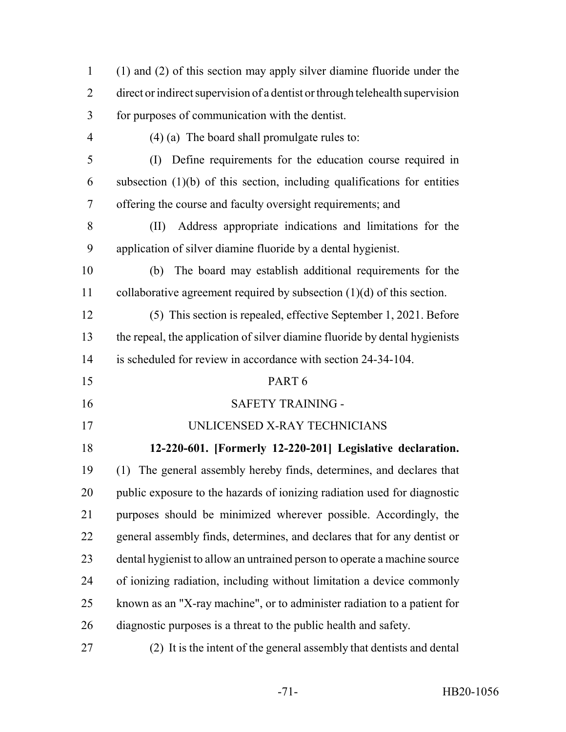| $\mathbf{1}$   | (1) and (2) of this section may apply silver diamine fluoride under the             |
|----------------|-------------------------------------------------------------------------------------|
| $\overline{2}$ | direct or indirect supervision of a dentist or through telehealth supervision       |
| 3              | for purposes of communication with the dentist.                                     |
| $\overline{4}$ | $(4)$ (a) The board shall promulgate rules to:                                      |
| 5              | Define requirements for the education course required in<br>$\left( \Gamma \right)$ |
| 6              | subsection $(1)(b)$ of this section, including qualifications for entities          |
| 7              | offering the course and faculty oversight requirements; and                         |
| 8              | Address appropriate indications and limitations for the<br>(II)                     |
| 9              | application of silver diamine fluoride by a dental hygienist.                       |
| 10             | The board may establish additional requirements for the<br>(b)                      |
| 11             | collaborative agreement required by subsection $(1)(d)$ of this section.            |
| 12             | (5) This section is repealed, effective September 1, 2021. Before                   |
| 13             | the repeal, the application of silver diamine fluoride by dental hygienists         |
| 14             | is scheduled for review in accordance with section 24-34-104.                       |
| 15             | PART <sub>6</sub>                                                                   |
| 16             | <b>SAFETY TRAINING -</b>                                                            |
| 17             | UNLICENSED X-RAY TECHNICIANS                                                        |
| 18             | 12-220-601. [Formerly 12-220-201] Legislative declaration.                          |
| 19             | (1) The general assembly hereby finds, determines, and declares that                |
| 20             | public exposure to the hazards of ionizing radiation used for diagnostic            |
| 21             | purposes should be minimized wherever possible. Accordingly, the                    |
| 22             | general assembly finds, determines, and declares that for any dentist or            |
| 23             | dental hygienist to allow an untrained person to operate a machine source           |
| 24             | of ionizing radiation, including without limitation a device commonly               |
| 25             | known as an "X-ray machine", or to administer radiation to a patient for            |
| 26             | diagnostic purposes is a threat to the public health and safety.                    |
| 27             | (2) It is the intent of the general assembly that dentists and dental               |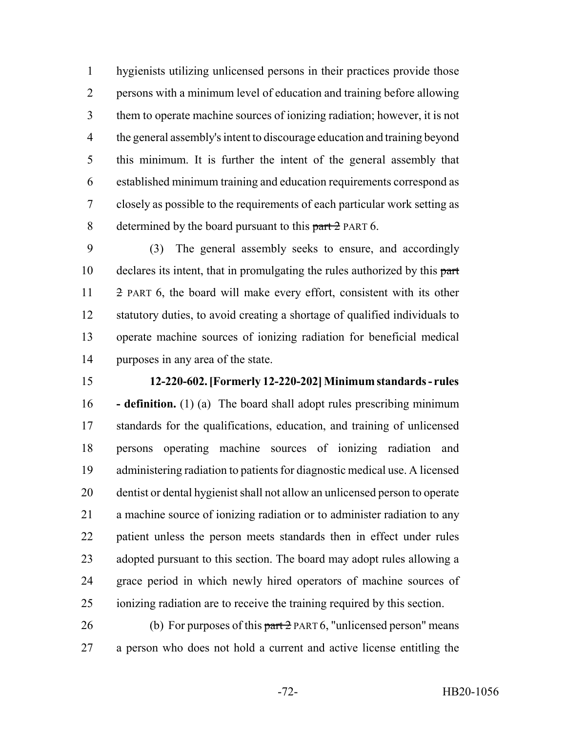hygienists utilizing unlicensed persons in their practices provide those persons with a minimum level of education and training before allowing them to operate machine sources of ionizing radiation; however, it is not the general assembly's intent to discourage education and training beyond this minimum. It is further the intent of the general assembly that established minimum training and education requirements correspond as closely as possible to the requirements of each particular work setting as 8 determined by the board pursuant to this part 2 PART 6.

 (3) The general assembly seeks to ensure, and accordingly 10 declares its intent, that in promulgating the rules authorized by this part 2 PART 6, the board will make every effort, consistent with its other statutory duties, to avoid creating a shortage of qualified individuals to operate machine sources of ionizing radiation for beneficial medical purposes in any area of the state.

## **12-220-602. [Formerly 12-220-202] Minimum standards - rules**

 **- definition.** (1) (a) The board shall adopt rules prescribing minimum standards for the qualifications, education, and training of unlicensed persons operating machine sources of ionizing radiation and administering radiation to patients for diagnostic medical use. A licensed dentist or dental hygienist shall not allow an unlicensed person to operate a machine source of ionizing radiation or to administer radiation to any patient unless the person meets standards then in effect under rules adopted pursuant to this section. The board may adopt rules allowing a grace period in which newly hired operators of machine sources of ionizing radiation are to receive the training required by this section.

26 (b) For purposes of this  $part 2$  PART 6, "unlicensed person" means a person who does not hold a current and active license entitling the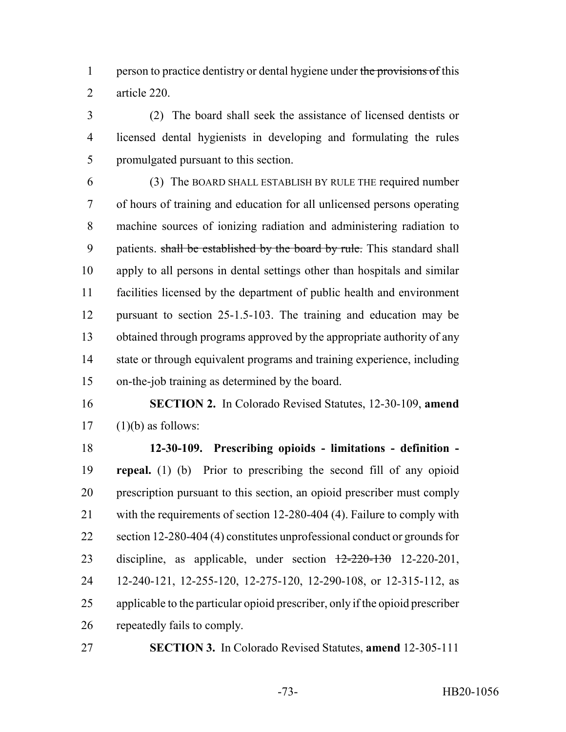1 person to practice dentistry or dental hygiene under the provisions of this article 220.

 (2) The board shall seek the assistance of licensed dentists or licensed dental hygienists in developing and formulating the rules promulgated pursuant to this section.

 (3) The BOARD SHALL ESTABLISH BY RULE THE required number of hours of training and education for all unlicensed persons operating machine sources of ionizing radiation and administering radiation to 9 patients. shall be established by the board by rule. This standard shall apply to all persons in dental settings other than hospitals and similar facilities licensed by the department of public health and environment pursuant to section 25-1.5-103. The training and education may be obtained through programs approved by the appropriate authority of any 14 state or through equivalent programs and training experience, including on-the-job training as determined by the board.

 **SECTION 2.** In Colorado Revised Statutes, 12-30-109, **amend** (1)(b) as follows:

 **12-30-109. Prescribing opioids - limitations - definition - repeal.** (1) (b) Prior to prescribing the second fill of any opioid prescription pursuant to this section, an opioid prescriber must comply with the requirements of section 12-280-404 (4). Failure to comply with 22 section 12-280-404 (4) constitutes unprofessional conduct or grounds for 23 discipline, as applicable, under section  $\frac{12-220-130}{2220-201}$  12-240-121, 12-255-120, 12-275-120, 12-290-108, or 12-315-112, as applicable to the particular opioid prescriber, only if the opioid prescriber repeatedly fails to comply.

**SECTION 3.** In Colorado Revised Statutes, **amend** 12-305-111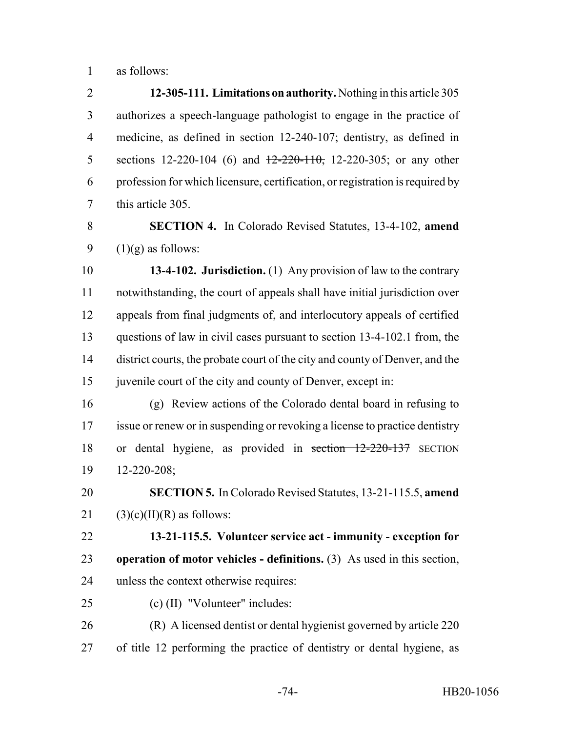as follows:

 **12-305-111. Limitations on authority.** Nothing in this article 305 authorizes a speech-language pathologist to engage in the practice of medicine, as defined in section 12-240-107; dentistry, as defined in 5 sections 12-220-104 (6) and  $\frac{12-220-110}{7}$ , 12-220-305; or any other profession for which licensure, certification, or registration is required by this article 305.

 **SECTION 4.** In Colorado Revised Statutes, 13-4-102, **amend** 9  $(1)(g)$  as follows:

 **13-4-102. Jurisdiction.** (1) Any provision of law to the contrary notwithstanding, the court of appeals shall have initial jurisdiction over appeals from final judgments of, and interlocutory appeals of certified questions of law in civil cases pursuant to section 13-4-102.1 from, the district courts, the probate court of the city and county of Denver, and the 15 juven ile court of the city and county of Denver, except in:

 (g) Review actions of the Colorado dental board in refusing to issue or renew or in suspending or revoking a license to practice dentistry or dental hygiene, as provided in section 12-220-137 SECTION 12-220-208;

 **SECTION 5.** In Colorado Revised Statutes, 13-21-115.5, **amend** 21 (3)(c)(II)(R) as follows:

 **13-21-115.5. Volunteer service act - immunity - exception for operation of motor vehicles - definitions.** (3) As used in this section, unless the context otherwise requires:

(c) (II) "Volunteer" includes:

 (R) A licensed dentist or dental hygienist governed by article 220 of title 12 performing the practice of dentistry or dental hygiene, as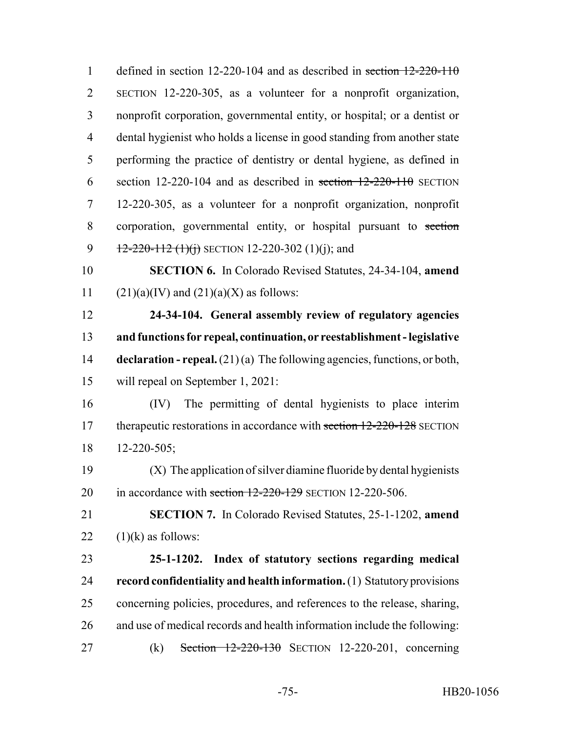| $\mathbf{1}$   | defined in section 12-220-104 and as described in section $12-220-110$             |
|----------------|------------------------------------------------------------------------------------|
| $\overline{2}$ | SECTION 12-220-305, as a volunteer for a nonprofit organization,                   |
| 3              | nonprofit corporation, governmental entity, or hospital; or a dentist or           |
| $\overline{4}$ | dental hygienist who holds a license in good standing from another state           |
| 5              | performing the practice of dentistry or dental hygiene, as defined in              |
| 6              | section 12-220-104 and as described in section $12-220-110$ SECTION                |
| 7              | 12-220-305, as a volunteer for a nonprofit organization, nonprofit                 |
| 8              | corporation, governmental entity, or hospital pursuant to section                  |
| 9              | $12-220-112$ (1)(i) SECTION 12-220-302 (1)(i); and                                 |
| 10             | <b>SECTION 6.</b> In Colorado Revised Statutes, 24-34-104, amend                   |
| 11             | $(21)(a)(IV)$ and $(21)(a)(X)$ as follows:                                         |
| 12             | 24-34-104. General assembly review of regulatory agencies                          |
| 13             | and functions for repeal, continuation, or reestablishment - legislative           |
| 14             | <b>declaration - repeal.</b> $(21)(a)$ The following agencies, functions, or both, |
| 15             | will repeal on September 1, 2021:                                                  |
| 16             | The permitting of dental hygienists to place interim<br>(IV)                       |
| 17             | therapeutic restorations in accordance with section 12-220-128 SECTION             |
| 18             | $12 - 220 - 505$ ;                                                                 |
| 19             | (X) The application of silver diamine fluoride by dental hygienists                |
| 20             | in accordance with section 12-220-129 SECTION 12-220-506.                          |
| 21             | SECTION 7. In Colorado Revised Statutes, 25-1-1202, amend                          |
| 22             | $(1)(k)$ as follows:                                                               |
| 23             | 25-1-1202. Index of statutory sections regarding medical                           |
| 24             | record confidentiality and health information. (1) Statutory provisions            |
| 25             | concerning policies, procedures, and references to the release, sharing,           |
| 26             | and use of medical records and health information include the following:           |
| 27             | Section $12-220-130$ SECTION 12-220-201, concerning<br>(k)                         |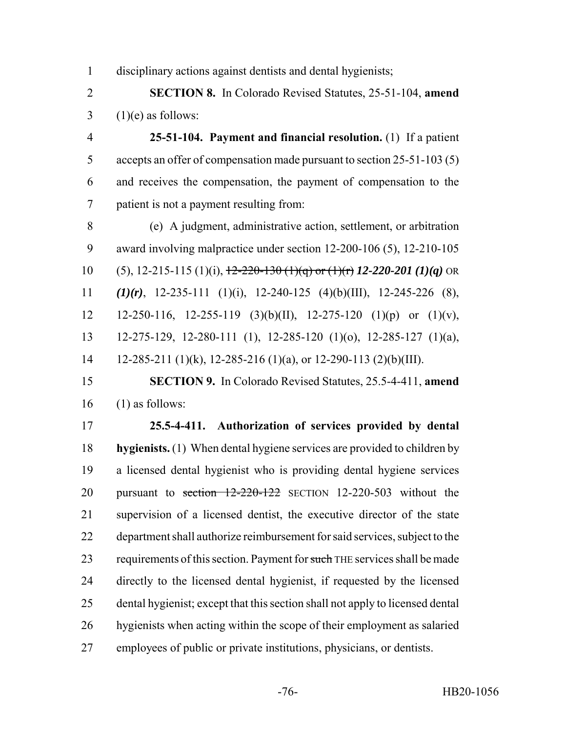disciplinary actions against dentists and dental hygienists;

 **SECTION 8.** In Colorado Revised Statutes, 25-51-104, **amend**  $3 \quad (1)(e)$  as follows:

 **25-51-104. Payment and financial resolution.** (1) If a patient accepts an offer of compensation made pursuant to section 25-51-103 (5) and receives the compensation, the payment of compensation to the patient is not a payment resulting from:

 (e) A judgment, administrative action, settlement, or arbitration award involving malpractice under section 12-200-106 (5), 12-210-105 (5), 12-215-115 (1)(i), 12-220-130 (1)(q) or (1)(r) *12-220-201 (1)(q)* OR *(1)(r)*, 12-235-111 (1)(i), 12-240-125 (4)(b)(III), 12-245-226 (8), 12 12-250-116, 12-255-119 (3)(b)(II), 12-275-120 (1)(p) or (1)(v), 12-275-129, 12-280-111 (1), 12-285-120 (1)(o), 12-285-127 (1)(a), 14 12-285-211 (1)(k), 12-285-216 (1)(a), or 12-290-113 (2)(b)(III).

 **SECTION 9.** In Colorado Revised Statutes, 25.5-4-411, **amend** (1) as follows:

 **25.5-4-411. Authorization of services provided by dental hygienists.** (1) When dental hygiene services are provided to children by a licensed dental hygienist who is providing dental hygiene services 20 pursuant to section 12-220-122 SECTION 12-220-503 without the supervision of a licensed dentist, the executive director of the state department shall authorize reimbursement for said services, subject to the 23 requirements of this section. Payment for such THE services shall be made directly to the licensed dental hygienist, if requested by the licensed dental hygienist; except that this section shall not apply to licensed dental hygienists when acting within the scope of their employment as salaried employees of public or private institutions, physicians, or dentists.